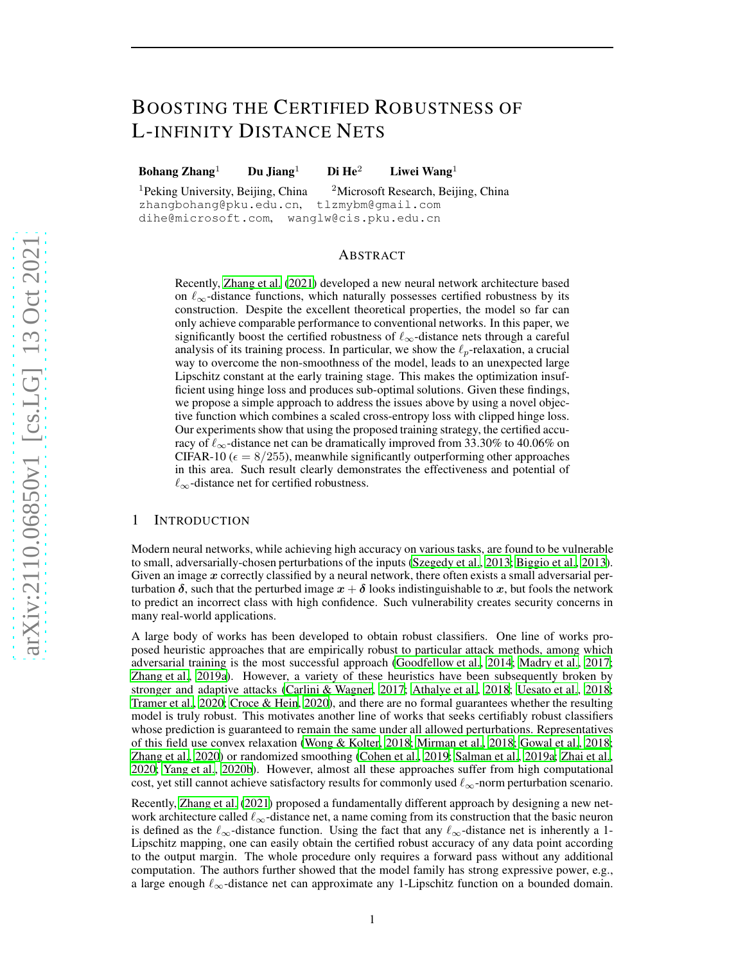# BOOSTING THE CERTIFIED ROBUSTNESS OF L-INFINITY DISTANCE NETS

Bohang Zhang<sup>1</sup> Du Jiang<sup>1</sup> Di He<sup>2</sup> Liwei Wang<sup>1</sup>

<sup>1</sup>Peking University, Beijing, China <sup>2</sup>Microsoft Research, Beijing, China zhangbohang@pku.edu.cn, tlzmybm@gmail.com dihe@microsoft.com, wanglw@cis.pku.edu.cn

### ABSTRACT

Recently, [Zhang et al. \(2021\)](#page-11-0) developed a new neural network architecture based on  $\ell_{\infty}$ -distance functions, which naturally possesses certified robustness by its construction. Despite the excellent theoretical properties, the model so far can only achieve comparable performance to conventional networks. In this paper, we significantly boost the certified robustness of  $\ell_{\infty}$ -distance nets through a careful analysis of its training process. In particular, we show the  $\ell_p$ -relaxation, a crucial way to overcome the non-smoothness of the model, leads to an unexpected large Lipschitz constant at the early training stage. This makes the optimization insufficient using hinge loss and produces sub-optimal solutions. Given these findings, we propose a simple approach to address the issues above by using a novel objective function which combines a scaled cross-entropy loss with clipped hinge loss. Our experiments show that using the proposed training strategy, the certified accuracy of  $\ell_{\infty}$ -distance net can be dramatically improved from 33.30% to 40.06% on CIFAR-10 ( $\epsilon = 8/255$ ), meanwhile significantly outperforming other approaches in this area. Such result clearly demonstrates the effectiveness and potential of  $\ell_{\infty}$ -distance net for certified robustness.

# 1 INTRODUCTION

Modern neural networks, while achieving high accuracy on various tasks, are found to be vulnerable to small, adversarially-chosen perturbations of the inputs [\(Szegedy et al., 2013;](#page-11-1) [Biggio et al., 2013](#page-9-0)). Given an image  $x$  correctly classified by a neural network, there often exists a small adversarial perturbation  $\delta$ , such that the perturbed image  $x + \delta$  looks indistinguishable to x, but fools the network to predict an incorrect class with high confidence. Such vulnerability creates security concerns in many real-world applications.

A large body of works has been developed to obtain robust classifiers. One line of works proposed heuristic approaches that are empirically robust to particular attack methods, among which adversarial training is the most successful approach [\(Goodfellow et al., 2014;](#page-9-1) [Madry et al.](#page-10-0), [2017](#page-10-0); [Zhang et al.](#page-12-0), [2019a](#page-12-0)). However, a variety of these heuristics have been subsequently broken by stronger and adaptive attacks [\(Carlini & Wagner](#page-9-2), [2017;](#page-9-2) [Athalye et al., 2018;](#page-9-3) [Uesato et al., 2018](#page-11-2); [Tramer et al., 2020;](#page-11-3) [Croce & Hein](#page-9-4), [2020](#page-9-4)), and there are no formal guarantees whether the resulting model is truly robust. This motivates another line of works that seeks certifiably robust classifiers whose prediction is guaranteed to remain the same under all allowed perturbations. Representatives of this field use convex relaxation [\(Wong & Kolter, 2018](#page-11-4); [Mirman et al., 2018](#page-10-1); [Gowal et al., 2018](#page-10-2); [Zhang et al.](#page-12-1), [2020\)](#page-12-1) or randomized smoothing [\(Cohen et al., 2019;](#page-9-5) [Salman et al.](#page-10-3), [2019a;](#page-10-3) [Zhai et al.,](#page-11-5) [2020;](#page-11-5) [Yang et al., 2020b\)](#page-11-6). However, almost all these approaches suffer from high computational cost, yet still cannot achieve satisfactory results for commonly used  $\ell_{\infty}$ -norm perturbation scenario.

Recently, [Zhang et al. \(2021\)](#page-11-0) proposed a fundamentally different approach by designing a new network architecture called  $\ell_{\infty}$ -distance net, a name coming from its construction that the basic neuron is defined as the  $\ell_{\infty}$ -distance function. Using the fact that any  $\ell_{\infty}$ -distance net is inherently a 1-Lipschitz mapping, one can easily obtain the certified robust accuracy of any data point according to the output margin. The whole procedure only requires a forward pass without any additional computation. The authors further showed that the model family has strong expressive power, e.g., a large enough  $\ell_{\infty}$ -distance net can approximate any 1-Lipschitz function on a bounded domain.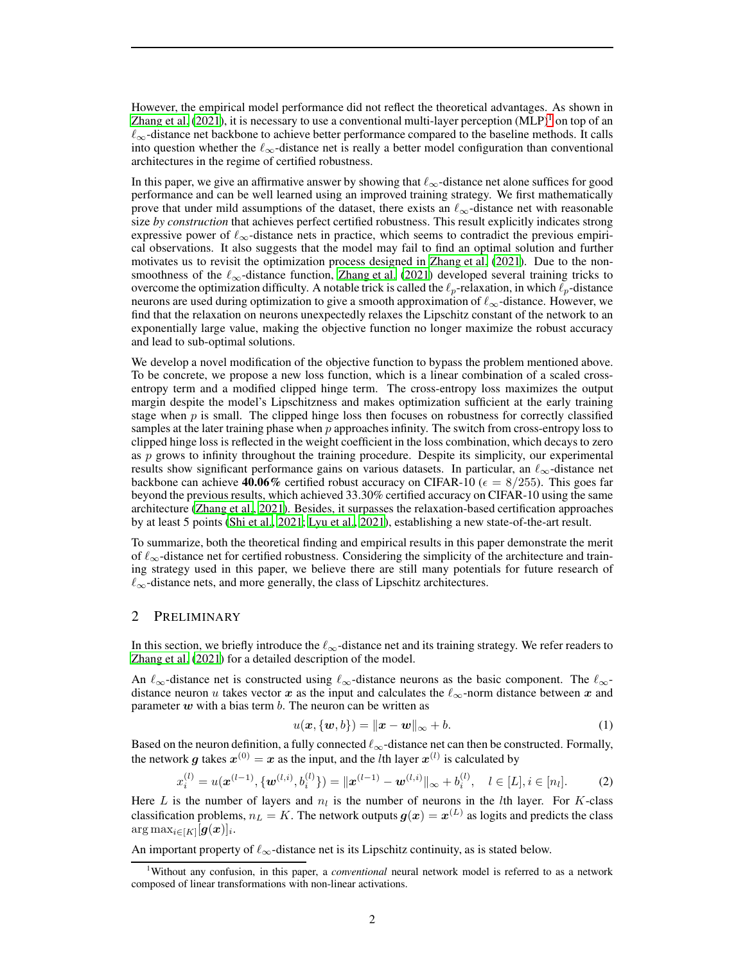However, the empirical model performance did not reflect the theoretical advantages. As shown in [Zhang et al. \(2021\)](#page-11-0), it is necessary to use a conventional multi-layer perception  $(MLP)^1$  $(MLP)^1$  on top of an  $\ell_{\infty}$ -distance net backbone to achieve better performance compared to the baseline methods. It calls into question whether the  $\ell_{\infty}$ -distance net is really a better model configuration than conventional architectures in the regime of certified robustness.

In this paper, we give an affirmative answer by showing that  $\ell_{\infty}$ -distance net alone suffices for good performance and can be well learned using an improved training strategy. We first mathematically prove that under mild assumptions of the dataset, there exists an  $\ell_{\infty}$ -distance net with reasonable size *by construction* that achieves perfect certified robustness. This result explicitly indicates strong expressive power of  $\ell_{\infty}$ -distance nets in practice, which seems to contradict the previous empirical observations. It also suggests that the model may fail to find an optimal solution and further motivates us to revisit the optimization process designed in [Zhang et al.](#page-11-0) [\(2021\)](#page-11-0). Due to the nonsmoothness of the  $\ell_{\infty}$ -distance function, [Zhang et al.](#page-11-0) [\(2021\)](#page-11-0) developed several training tricks to overcome the optimization difficulty. A notable trick is called the  $\ell_p$ -relaxation, in which  $\ell_p$ -distance neurons are used during optimization to give a smooth approximation of  $\ell_{\infty}$ -distance. However, we find that the relaxation on neurons unexpectedly relaxes the Lipschitz constant of the network to an exponentially large value, making the objective function no longer maximize the robust accuracy and lead to sub-optimal solutions.

We develop a novel modification of the objective function to bypass the problem mentioned above. To be concrete, we propose a new loss function, which is a linear combination of a scaled crossentropy term and a modified clipped hinge term. The cross-entropy loss maximizes the output margin despite the model's Lipschitzness and makes optimization sufficient at the early training stage when  $p$  is small. The clipped hinge loss then focuses on robustness for correctly classified samples at the later training phase when  $p$  approaches infinity. The switch from cross-entropy loss to clipped hinge loss is reflected in the weight coefficient in the loss combination, which decays to zero as  $p$  grows to infinity throughout the training procedure. Despite its simplicity, our experimental results show significant performance gains on various datasets. In particular, an  $\ell_{\infty}$ -distance net backbone can achieve 40.06% certified robust accuracy on CIFAR-10 ( $\epsilon = 8/255$ ). This goes far beyond the previous results, which achieved 33.30% certified accuracy on CIFAR-10 using the same architecture [\(Zhang et al.](#page-11-0), [2021](#page-11-0)). Besides, it surpasses the relaxation-based certification approaches by at least 5 points [\(Shi et al., 2021;](#page-10-4) [Lyu et al.](#page-10-5), [2021](#page-10-5)), establishing a new state-of-the-art result.

To summarize, both the theoretical finding and empirical results in this paper demonstrate the merit of  $\ell_{\infty}$ -distance net for certified robustness. Considering the simplicity of the architecture and training strategy used in this paper, we believe there are still many potentials for future research of  $\ell_{\infty}$ -distance nets, and more generally, the class of Lipschitz architectures.

## 2 PRELIMINARY

In this section, we briefly introduce the  $\ell_{\infty}$ -distance net and its training strategy. We refer readers to [Zhang et al. \(2021](#page-11-0)) for a detailed description of the model.

An  $\ell_{\infty}$ -distance net is constructed using  $\ell_{\infty}$ -distance neurons as the basic component. The  $\ell_{\infty}$ distance neuron u takes vector x as the input and calculates the  $\ell_{\infty}$ -norm distance between x and parameter  $w$  with a bias term  $b$ . The neuron can be written as

$$
u(\boldsymbol{x}, {\{\boldsymbol{w},b\}}) = \|\boldsymbol{x} - \boldsymbol{w}\|_{\infty} + b. \tag{1}
$$

Based on the neuron definition, a fully connected  $\ell_{\infty}$ -distance net can then be constructed. Formally, the network g takes  $x^{(0)} = x$  as the input, and the *l*th layer  $x^{(l)}$  is calculated by

<span id="page-1-1"></span>
$$
x_i^{(l)} = u(\boldsymbol{x}^{(l-1)}, \{\boldsymbol{w}^{(l,i)}, b_i^{(l)}\}) = \|\boldsymbol{x}^{(l-1)} - \boldsymbol{w}^{(l,i)}\|_{\infty} + b_i^{(l)}, \quad l \in [L], i \in [n_l].
$$
 (2)

Here L is the number of layers and  $n_l$  is the number of neurons in the lth layer. For K-class classification problems,  $n_L = K$ . The network outputs  $\bm{g}(\bm{x}) = \bm{x}^{(L)}$  as logits and predicts the class  $\arg\max_{i\in[K]} [\bm{g}(\bm{x})]_i.$ 

An important property of  $\ell_{\infty}$ -distance net is its Lipschitz continuity, as is stated below.

<span id="page-1-0"></span><sup>1</sup>Without any confusion, in this paper, a *conventional* neural network model is referred to as a network composed of linear transformations with non-linear activations.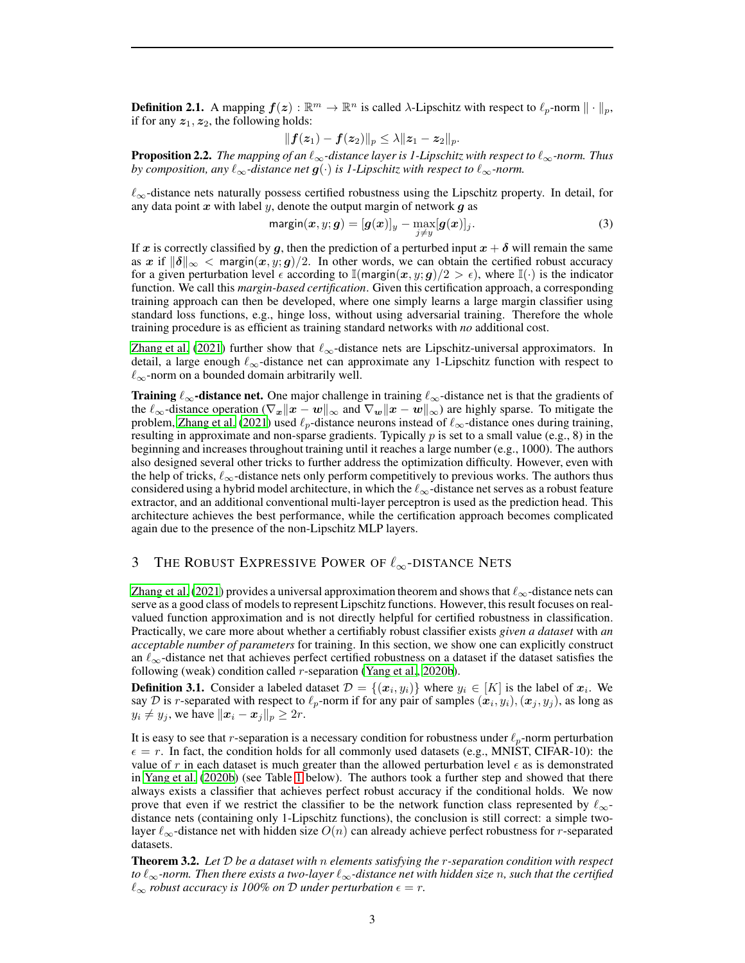**Definition 2.1.** A mapping  $f(z): \mathbb{R}^m \to \mathbb{R}^n$  is called  $\lambda$ -Lipschitz with respect to  $\ell_p$ -norm  $\|\cdot\|_p$ , if for any  $z_1, z_2$ , the following holds:

$$
\|\bm{f}(\bm{z}_1)-\bm{f}(\bm{z}_2)\|_p \leq \lambda \|\bm{z}_1-\bm{z}_2\|_p.
$$

Proposition 2.2. *The mapping of an* ℓ∞*-distance layer is 1-Lipschitz with respect to* ℓ∞*-norm. Thus by composition, any*  $\ell_{\infty}$ -distance net  $q(\cdot)$  *is 1-Lipschitz with respect to*  $\ell_{\infty}$ -norm.

 $\ell_{\infty}$ -distance nets naturally possess certified robustness using the Lipschitz property. In detail, for any data point  $x$  with label  $y$ , denote the output margin of network  $g$  as

$$
\mathsf{margin}(x, y; \boldsymbol{g}) = [\boldsymbol{g}(x)]_y - \max_{j \neq y} [\boldsymbol{g}(x)]_j. \tag{3}
$$

If x is correctly classified by g, then the prediction of a perturbed input  $x + \delta$  will remain the same as x if  $\|\delta\|_{\infty} < \text{margin}(x, y; g)/2$ . In other words, we can obtain the certified robust accuracy for a given perturbation level  $\epsilon$  according to  $\mathbb{I}(\text{margin}(x, y; g)/2 > \epsilon)$ , where  $\mathbb{I}(\cdot)$  is the indicator function. We call this *margin-based certification*. Given this certification approach, a corresponding training approach can then be developed, where one simply learns a large margin classifier using standard loss functions, e.g., hinge loss, without using adversarial training. Therefore the whole training procedure is as efficient as training standard networks with *no* additional cost.

[Zhang et al. \(2021](#page-11-0)) further show that  $\ell_{\infty}$ -distance nets are Lipschitz-universal approximators. In detail, a large enough  $\ell_{\infty}$ -distance net can approximate any 1-Lipschitz function with respect to  $\ell_{\infty}$ -norm on a bounded domain arbitrarily well.

**Training**  $\ell_{\infty}$ **-distance net.** One major challenge in training  $\ell_{\infty}$ -distance net is that the gradients of the  $\ell_{\infty}$ -distance operation  $(\nabla_{x} ||x - w||_{\infty}$  and  $\nabla_{w} ||x - w||_{\infty})$  are highly sparse. To mitigate the problem, [Zhang et al.](#page-11-0) [\(2021\)](#page-11-0) used  $\ell_p$ -distance neurons instead of  $\ell_\infty$ -distance ones during training, resulting in approximate and non-sparse gradients. Typically  $p$  is set to a small value (e.g., 8) in the beginning and increases throughout training until it reaches a large number (e.g., 1000). The authors also designed several other tricks to further address the optimization difficulty. However, even with the help of tricks,  $\ell_{\infty}$ -distance nets only perform competitively to previous works. The authors thus considered using a hybrid model architecture, in which the  $\ell_{\infty}$ -distance net serves as a robust feature extractor, and an additional conventional multi-layer perceptron is used as the prediction head. This architecture achieves the best performance, while the certification approach becomes complicated again due to the presence of the non-Lipschitz MLP layers.

# 3 THE ROBUST EXPRESSIVE POWER OF  $\ell_{\infty}$ -DISTANCE NETS

[Zhang et al.](#page-11-0) [\(2021\)](#page-11-0) provides a universal approximation theorem and shows that  $\ell_{\infty}$ -distance nets can serve as a good class of models to represent Lipschitz functions. However, this result focuses on realvalued function approximation and is not directly helpful for certified robustness in classification. Practically, we care more about whether a certifiably robust classifier exists *given a dataset* with *an acceptable number of parameters* for training. In this section, we show one can explicitly construct an  $\ell_{\infty}$ -distance net that achieves perfect certified robustness on a dataset if the dataset satisfies the following (weak) condition called  $r$ -separation [\(Yang et al., 2020b\)](#page-11-6).

**Definition 3.1.** Consider a labeled dataset  $\mathcal{D} = \{(x_i, y_i)\}$  where  $y_i \in [K]$  is the label of  $x_i$ . We say  $D$  is r-separated with respect to  $\ell_p$ -norm if for any pair of samples  $(\bm{x}_i, y_i), (\bm{x}_j, y_j)$ , as long as  $y_i \neq y_j$ , we have  $\|\boldsymbol{x}_i - \boldsymbol{x}_j\|_p \geq 2r$ .

It is easy to see that r-separation is a necessary condition for robustness under  $\ell_p$ -norm perturbation  $\epsilon = r$ . In fact, the condition holds for all commonly used datasets (e.g., MNIST, CIFAR-10): the value of r in each dataset is much greater than the allowed perturbation level  $\epsilon$  as is demonstrated in [Yang et al.](#page-11-6) [\(2020b\)](#page-11-6) (see Table [1](#page-3-0) below). The authors took a further step and showed that there always exists a classifier that achieves perfect robust accuracy if the conditional holds. We now prove that even if we restrict the classifier to be the network function class represented by  $\ell_{\infty}$ distance nets (containing only 1-Lipschitz functions), the conclusion is still correct: a simple twolayer  $\ell_{\infty}$ -distance net with hidden size  $O(n)$  can already achieve perfect robustness for r-separated datasets.

<span id="page-2-0"></span>Theorem 3.2. *Let* D *be a dataset with* n *elements satisfying the* r*-separation condition with respect to* ℓ∞*-norm. Then there exists a two-layer* ℓ∞*-distance net with hidden size* n*, such that the certified*  $\ell_{\infty}$  *robust accuracy is 100% on* D *under perturbation*  $\epsilon = r$ .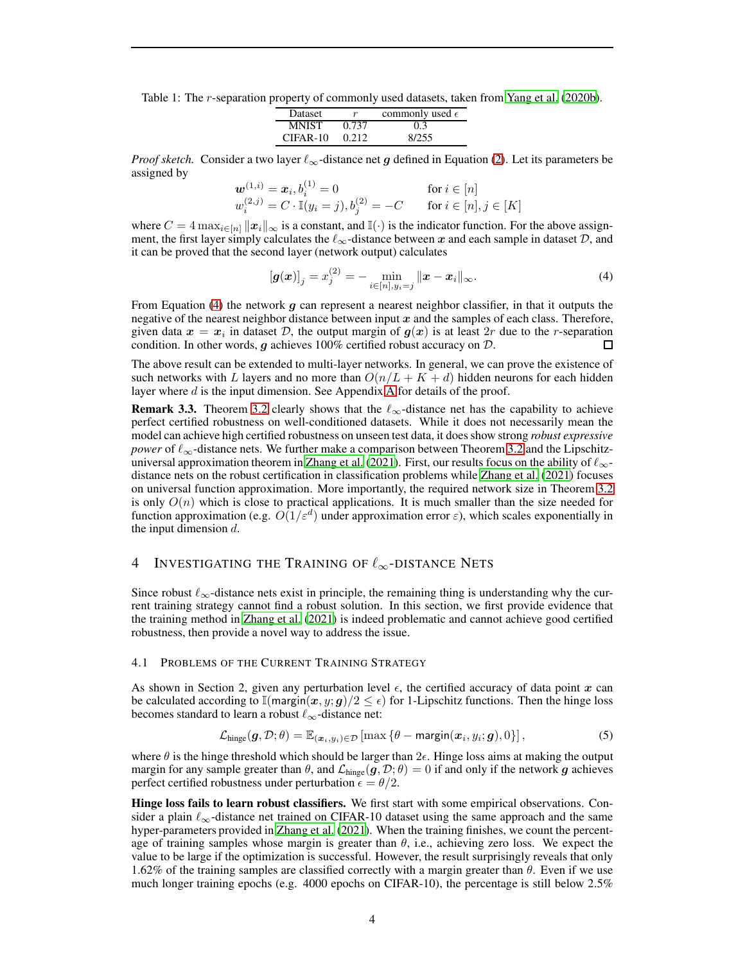<span id="page-3-0"></span>Table 1: The *r*-separation property of commonly used datasets, taken from [Yang et al.](#page-11-6) [\(2020b\)](#page-11-6).

| Dataset      | $\boldsymbol{r}$ | commonly used $\epsilon$ |
|--------------|------------------|--------------------------|
| <b>MNIST</b> | 0.737            | 0.3                      |
| $CIFAR-10$   | 0.212            | 8/255                    |

*Proof sketch.* Consider a two layer  $\ell_{\infty}$ -distance net g defined in Equation [\(2\)](#page-1-1). Let its parameters be assigned by

$$
\begin{aligned}\n\boldsymbol{w}^{(1,i)} &= \boldsymbol{x}_i, b_i^{(1)} = 0 & \text{for } i \in [n] \\
w_i^{(2,j)} &= C \cdot \mathbb{I}(y_i = j), b_j^{(2)} = -C & \text{for } i \in [n], j \in [K]\n\end{aligned}
$$

where  $C = 4 \max_{i \in [n]} ||x_i||_{\infty}$  is a constant, and  $\mathbb{I}(\cdot)$  is the indicator function. For the above assignment, the first layer simply calculates the  $\ell_{\infty}$ -distance between x and each sample in dataset  $\mathcal{D}$ , and it can be proved that the second layer (network output) calculates

<span id="page-3-1"></span>
$$
[\bm{g}(\bm{x})]_j = x_j^{(2)} = -\min_{i \in [n], y_i = j} \|\bm{x} - \bm{x}_i\|_{\infty}.
$$
 (4)

From Equation [\(4\)](#page-3-1) the network  $g$  can represent a nearest neighbor classifier, in that it outputs the negative of the nearest neighbor distance between input  $x$  and the samples of each class. Therefore, given data  $x = x_i$  in dataset D, the output margin of  $g(x)$  is at least  $2r$  due to the r-separation condition. In other words,  $g$  achieves 100% certified robust accuracy on  $D$ . П

The above result can be extended to multi-layer networks. In general, we can prove the existence of such networks with L layers and no more than  $O(n/L + K + d)$  hidden neurons for each hidden layer where d is the input dimension. See [A](#page-13-0)ppendix A for details of the proof.

**Remark 3.3.** Theorem [3.2](#page-2-0) clearly shows that the  $\ell_{\infty}$ -distance net has the capability to achieve perfect certified robustness on well-conditioned datasets. While it does not necessarily mean the model can achieve high certified robustness on unseen test data, it does show strong *robust expressive power* of  $\ell_{\infty}$ -distance nets. We further make a comparison between Theorem [3.2](#page-2-0) and the Lipschitz-universal approximation theorem in [Zhang et al. \(2021](#page-11-0)). First, our results focus on the ability of  $\ell_{\infty}$ distance nets on the robust certification in classification problems while [Zhang et al. \(2021\)](#page-11-0) focuses on universal function approximation. More importantly, the required network size in Theorem [3.2](#page-2-0) is only  $O(n)$  which is close to practical applications. It is much smaller than the size needed for function approximation (e.g.  $O(1/\varepsilon^d)$  under approximation error  $\varepsilon$ ), which scales exponentially in the input dimension  $d$ .

## 4 INVESTIGATING THE TRAINING OF  $\ell_{\infty}$ -DISTANCE NETS

Since robust  $\ell_{\infty}$ -distance nets exist in principle, the remaining thing is understanding why the current training strategy cannot find a robust solution. In this section, we first provide evidence that the training method in [Zhang et al.](#page-11-0) [\(2021\)](#page-11-0) is indeed problematic and cannot achieve good certified robustness, then provide a novel way to address the issue.

## <span id="page-3-2"></span>4.1 PROBLEMS OF THE CURRENT TRAINING STRATEGY

As shown in Section 2, given any perturbation level  $\epsilon$ , the certified accuracy of data point x can be calculated according to  $\mathbb{I}(\text{margin}(x, y; g)/2 \leq \epsilon)$  for 1-Lipschitz functions. Then the hinge loss becomes standard to learn a robust  $\ell_{\infty}$ -distance net:

$$
\mathcal{L}_{\text{hinge}}(\boldsymbol{g}, \mathcal{D}; \theta) = \mathbb{E}_{(\boldsymbol{x}_i, y_i) \in \mathcal{D}} \left[ \max \left\{ \theta - \text{margin}(\boldsymbol{x}_i, y_i; \boldsymbol{g}), 0 \right\} \right],\tag{5}
$$

where  $\theta$  is the hinge threshold which should be larger than  $2\epsilon$ . Hinge loss aims at making the output margin for any sample greater than  $\theta$ , and  $\mathcal{L}_{\text{hinge}}(g, \mathcal{D}; \theta) = 0$  if and only if the network g achieves perfect certified robustness under perturbation  $\epsilon = \theta/2$ .

Hinge loss fails to learn robust classifiers. We first start with some empirical observations. Consider a plain  $\ell_{\infty}$ -distance net trained on CIFAR-10 dataset using the same approach and the same hyper-parameters provided in [Zhang et al. \(2021\)](#page-11-0). When the training finishes, we count the percentage of training samples whose margin is greater than  $\theta$ , i.e., achieving zero loss. We expect the value to be large if the optimization is successful. However, the result surprisingly reveals that only 1.62% of the training samples are classified correctly with a margin greater than θ. Even if we use much longer training epochs (e.g. 4000 epochs on CIFAR-10), the percentage is still below 2.5%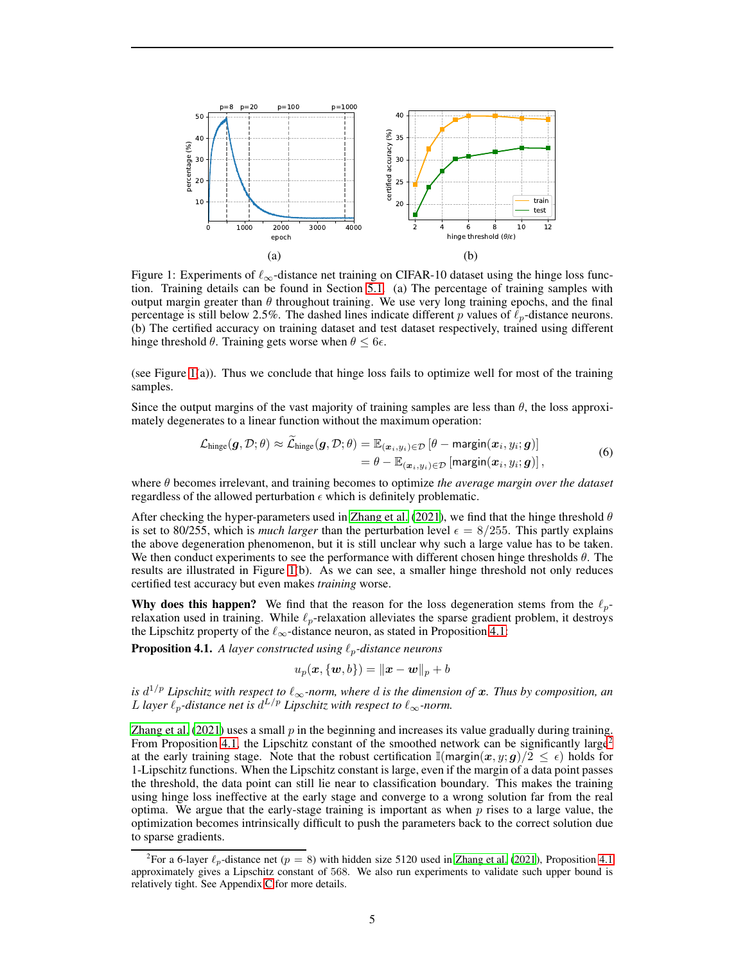

<span id="page-4-0"></span>Figure 1: Experiments of  $\ell_{\infty}$ -distance net training on CIFAR-10 dataset using the hinge loss function. Training details can be found in Section [5.1.](#page-6-0) (a) The percentage of training samples with output margin greater than  $\theta$  throughout training. We use very long training epochs, and the final percentage is still below 2.5%. The dashed lines indicate different p values of  $\ell_p$ -distance neurons. (b) The certified accuracy on training dataset and test dataset respectively, trained using different hinge threshold  $\theta$ . Training gets worse when  $\theta \leq 6\epsilon$ .

(see Figure  $1(a)$ ). Thus we conclude that hinge loss fails to optimize well for most of the training samples.

Since the output margins of the vast majority of training samples are less than  $\theta$ , the loss approximately degenerates to a linear function without the maximum operation:

$$
\mathcal{L}_{\text{hinge}}(\boldsymbol{g}, \mathcal{D}; \theta) \approx \widetilde{\mathcal{L}}_{\text{hinge}}(\boldsymbol{g}, \mathcal{D}; \theta) = \mathbb{E}_{(\boldsymbol{x}_i, y_i) \in \mathcal{D}} \left[ \theta - \text{margin}(\boldsymbol{x}_i, y_i; \boldsymbol{g}) \right] \n= \theta - \mathbb{E}_{(\boldsymbol{x}_i, y_i) \in \mathcal{D}} \left[ \text{margin}(\boldsymbol{x}_i, y_i; \boldsymbol{g}) \right],
$$
\n(6)

where θ becomes irrelevant, and training becomes to optimize *the average margin over the dataset* regardless of the allowed perturbation  $\epsilon$  which is definitely problematic.

After checking the hyper-parameters used in [Zhang et al.](#page-11-0) [\(2021\)](#page-11-0), we find that the hinge threshold  $\theta$ is set to 80/255, which is *much larger* than the perturbation level  $\epsilon = 8/255$ . This partly explains the above degeneration phenomenon, but it is still unclear why such a large value has to be taken. We then conduct experiments to see the performance with different chosen hinge thresholds  $\theta$ . The results are illustrated in Figure [1\(](#page-4-0)b). As we can see, a smaller hinge threshold not only reduces certified test accuracy but even makes *training* worse.

Why does this happen? We find that the reason for the loss degeneration stems from the  $\ell_p$ relaxation used in training. While  $\ell_p$ -relaxation alleviates the sparse gradient problem, it destroys the Lipschitz property of the  $\ell_{\infty}$ -distance neuron, as stated in Proposition [4.1:](#page-4-1)

<span id="page-4-1"></span>**Proposition 4.1.** A layer constructed using  $\ell_p$ -distance neurons

$$
u_p(\boldsymbol{x},\{\boldsymbol{w},b\})=\|\boldsymbol{x}-\boldsymbol{w}\|_p+b
$$

*is* d <sup>1</sup>/p *Lipschitz with respect to* ℓ∞*-norm, where* d *is the dimension of* x*. Thus by composition, an* L layer  $\ell_p$ -distance net is  $d^{L/p}$  Lipschitz with respect to  $\ell_{\infty}$ -norm.

[Zhang et al. \(2021\)](#page-11-0) uses a small  $p$  in the beginning and increases its value gradually during training. From Proposition [4.1,](#page-4-1) the Lipschitz constant of the smoothed network can be significantly large<sup>[2](#page-4-2)</sup> at the early training stage. Note that the robust certification  $\mathbb{I}(\text{margin}(x, y; g)/2 \leq \epsilon)$  holds for 1-Lipschitz functions. When the Lipschitz constant is large, even if the margin of a data point passes the threshold, the data point can still lie near to classification boundary. This makes the training using hinge loss ineffective at the early stage and converge to a wrong solution far from the real optima. We argue that the early-stage training is important as when  $p$  rises to a large value, the optimization becomes intrinsically difficult to push the parameters back to the correct solution due to sparse gradients.

<span id="page-4-2"></span><sup>&</sup>lt;sup>2</sup>For a 6-layer  $\ell_p$ -distance net ( $p = 8$ ) with hidden size 5120 used in [Zhang et al. \(2021\)](#page-11-0), Proposition [4.1](#page-4-1) approximately gives a Lipschitz constant of 568. We also run experiments to validate such upper bound is relatively tight. See Appendix [C](#page-16-0) for more details.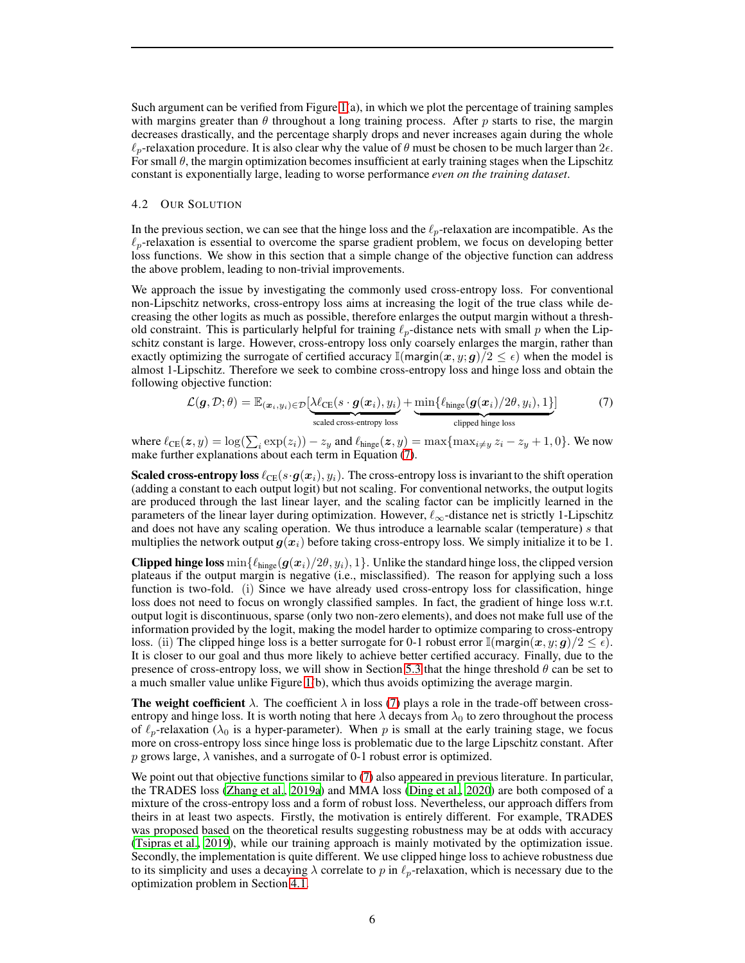Such argument can be verified from Figure [1\(](#page-4-0)a), in which we plot the percentage of training samples with margins greater than  $\theta$  throughout a long training process. After p starts to rise, the margin decreases drastically, and the percentage sharply drops and never increases again during the whole  $\ell_p$ -relaxation procedure. It is also clear why the value of  $\theta$  must be chosen to be much larger than  $2\epsilon$ . For small  $\theta$ , the margin optimization becomes insufficient at early training stages when the Lipschitz constant is exponentially large, leading to worse performance *even on the training dataset*.

#### 4.2 OUR SOLUTION

In the previous section, we can see that the hinge loss and the  $\ell_p$ -relaxation are incompatible. As the  $\ell_p$ -relaxation is essential to overcome the sparse gradient problem, we focus on developing better loss functions. We show in this section that a simple change of the objective function can address the above problem, leading to non-trivial improvements.

We approach the issue by investigating the commonly used cross-entropy loss. For conventional non-Lipschitz networks, cross-entropy loss aims at increasing the logit of the true class while decreasing the other logits as much as possible, therefore enlarges the output margin without a threshold constraint. This is particularly helpful for training  $\ell_p$ -distance nets with small p when the Lipschitz constant is large. However, cross-entropy loss only coarsely enlarges the margin, rather than exactly optimizing the surrogate of certified accuracy  $\mathbb{I}$ (margin $(x, y; g)/2 \leq \epsilon$ ) when the model is almost 1-Lipschitz. Therefore we seek to combine cross-entropy loss and hinge loss and obtain the following objective function:

<span id="page-5-0"></span>
$$
\mathcal{L}(\boldsymbol{g}, \mathcal{D}; \theta) = \mathbb{E}_{(\boldsymbol{x}_i, y_i) \in \mathcal{D}} \left[ \underbrace{\lambda \ell_{CE}(s \cdot \boldsymbol{g}(\boldsymbol{x}_i), y_i)}_{\text{scaled cross-entropy loss}} + \underbrace{\min \{ \ell_{\text{hinge}}(\boldsymbol{g}(\boldsymbol{x}_i)/2\theta, y_i), 1 \}}_{\text{clipped hinge loss}} \right]
$$
(7)

where  $\ell_{CE}(z, y) = \log(\sum_i \exp(z_i)) - z_y$  and  $\ell_{hinge}(z, y) = \max\{\max_{i \neq y} z_i - z_y + 1, 0\}$ . We now make further explanations about each term in Equation [\(7\)](#page-5-0).

**Scaled cross-entropy loss**  $\ell_{CE}(s \cdot g(x_i), y_i)$ . The cross-entropy loss is invariant to the shift operation (adding a constant to each output logit) but not scaling. For conventional networks, the output logits are produced through the last linear layer, and the scaling factor can be implicitly learned in the parameters of the linear layer during optimization. However,  $\ell_{\infty}$ -distance net is strictly 1-Lipschitz and does not have any scaling operation. We thus introduce a learnable scalar (temperature) s that multiplies the network output  $g(x_i)$  before taking cross-entropy loss. We simply initialize it to be 1.

Clipped hinge loss  $\min\{\ell_{\text{hinge}}(g(x_i)/2\theta, y_i), 1\}$ . Unlike the standard hinge loss, the clipped version plateaus if the output margin is negative (i.e., misclassified). The reason for applying such a loss function is two-fold. (i) Since we have already used cross-entropy loss for classification, hinge loss does not need to focus on wrongly classified samples. In fact, the gradient of hinge loss w.r.t. output logit is discontinuous, sparse (only two non-zero elements), and does not make full use of the information provided by the logit, making the model harder to optimize comparing to cross-entropy loss. (ii) The clipped hinge loss is a better surrogate for 0-1 robust error  $\mathbb{I}(\text{margin}(x, y; \textbf{g})/2 \leq \epsilon)$ . It is closer to our goal and thus more likely to achieve better certified accuracy. Finally, due to the presence of cross-entropy loss, we will show in Section [5.3](#page-6-1) that the hinge threshold  $\theta$  can be set to a much smaller value unlike Figure [1\(](#page-4-0)b), which thus avoids optimizing the average margin.

The weight coefficient  $\lambda$ . The coefficient  $\lambda$  in loss [\(7\)](#page-5-0) plays a role in the trade-off between crossentropy and hinge loss. It is worth noting that here  $\lambda$  decays from  $\lambda_0$  to zero throughout the process of  $\ell_p$ -relaxation ( $\lambda_0$  is a hyper-parameter). When p is small at the early training stage, we focus more on cross-entropy loss since hinge loss is problematic due to the large Lipschitz constant. After p grows large,  $\lambda$  vanishes, and a surrogate of 0-1 robust error is optimized.

We point out that objective functions similar to [\(7\)](#page-5-0) also appeared in previous literature. In particular, the TRADES loss [\(Zhang et al., 2019a\)](#page-12-0) and MMA loss [\(Ding et al., 2020\)](#page-9-6) are both composed of a mixture of the cross-entropy loss and a form of robust loss. Nevertheless, our approach differs from theirs in at least two aspects. Firstly, the motivation is entirely different. For example, TRADES was proposed based on the theoretical results suggesting robustness may be at odds with accuracy [\(Tsipras et al., 2019\)](#page-11-7), while our training approach is mainly motivated by the optimization issue. Secondly, the implementation is quite different. We use clipped hinge loss to achieve robustness due to its simplicity and uses a decaying  $\lambda$  correlate to p in  $\ell_p$ -relaxation, which is necessary due to the optimization problem in Section [4.1.](#page-3-2)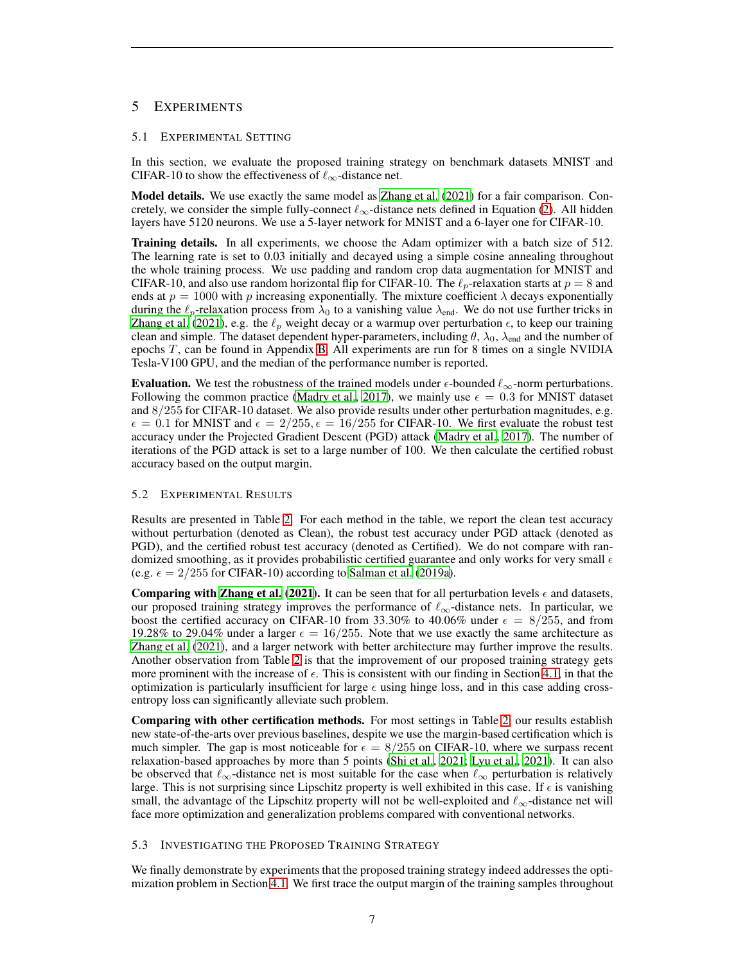# <span id="page-6-0"></span>5 EXPERIMENTS

#### 5.1 EXPERIMENTAL SETTING

In this section, we evaluate the proposed training strategy on benchmark datasets MNIST and CIFAR-10 to show the effectiveness of  $\ell_{\infty}$ -distance net.

Model details. We use exactly the same model as [Zhang et al.](#page-11-0) [\(2021\)](#page-11-0) for a fair comparison. Concretely, we consider the simple fully-connect  $\ell_{\infty}$ -distance nets defined in Equation [\(2\)](#page-1-1). All hidden layers have 5120 neurons. We use a 5-layer network for MNIST and a 6-layer one for CIFAR-10.

Training details. In all experiments, we choose the Adam optimizer with a batch size of 512. The learning rate is set to 0.03 initially and decayed using a simple cosine annealing throughout the whole training process. We use padding and random crop data augmentation for MNIST and CIFAR-10, and also use random horizontal flip for CIFAR-10. The  $\ell_p$ -relaxation starts at  $p = 8$  and ends at  $p = 1000$  with p increasing exponentially. The mixture coefficient  $\lambda$  decays exponentially during the  $\ell_p$ -relaxation process from  $\lambda_0$  to a vanishing value  $\lambda_{end}$ . We do not use further tricks in [Zhang et al. \(2021\)](#page-11-0), e.g. the  $\ell_p$  weight decay or a warmup over perturbation  $\epsilon$ , to keep our training clean and simple. The dataset dependent hyper-parameters, including  $\theta$ ,  $\lambda_0$ ,  $\lambda_{end}$  and the number of epochs  $T$ , can be found in Appendix [B.](#page-15-0) All experiments are run for 8 times on a single NVIDIA Tesla-V100 GPU, and the median of the performance number is reported.

Evaluation. We test the robustness of the trained models under  $\epsilon$ -bounded  $\ell_{\infty}$ -norm perturbations. Following the common practice [\(Madry et al.](#page-10-0), [2017](#page-10-0)), we mainly use  $\epsilon = 0.3$  for MNIST dataset and 8/255 for CIFAR-10 dataset. We also provide results under other perturbation magnitudes, e.g.  $\epsilon = 0.1$  for MNIST and  $\epsilon = 2/255$ ,  $\epsilon = 16/255$  for CIFAR-10. We first evaluate the robust test accuracy under the Projected Gradient Descent (PGD) attack [\(Madry et al.](#page-10-0), [2017\)](#page-10-0). The number of iterations of the PGD attack is set to a large number of 100. We then calculate the certified robust accuracy based on the output margin.

## 5.2 EXPERIMENTAL RESULTS

Results are presented in Table [2.](#page-7-0) For each method in the table, we report the clean test accuracy without perturbation (denoted as Clean), the robust test accuracy under PGD attack (denoted as PGD), and the certified robust test accuracy (denoted as Certified). We do not compare with randomized smoothing, as it provides probabilistic certified guarantee and only works for very small  $\epsilon$ (e.g.  $\epsilon = 2/255$  for CIFAR-10) according to [Salman et al. \(2019a](#page-10-3)).

**Comparing with [Zhang et al.](#page-11-0) [\(2021\)](#page-11-0).** It can be seen that for all perturbation levels  $\epsilon$  and datasets, our proposed training strategy improves the performance of  $\ell_{\infty}$ -distance nets. In particular, we boost the certified accuracy on CIFAR-10 from 33.30% to 40.06% under  $\epsilon = 8/255$ , and from 19.28% to 29.04% under a larger  $\epsilon = 16/255$ . Note that we use exactly the same architecture as [Zhang et al.](#page-11-0) [\(2021\)](#page-11-0), and a larger network with better architecture may further improve the results. Another observation from Table [2](#page-7-0) is that the improvement of our proposed training strategy gets more prominent with the increase of  $\epsilon$ . This is consistent with our finding in Section [4.1,](#page-3-2) in that the optimization is particularly insufficient for large  $\epsilon$  using hinge loss, and in this case adding crossentropy loss can significantly alleviate such problem.

Comparing with other certification methods. For most settings in Table [2,](#page-7-0) our results establish new state-of-the-arts over previous baselines, despite we use the margin-based certification which is much simpler. The gap is most noticeable for  $\epsilon = 8/255$  on CIFAR-10, where we surpass recent relaxation-based approaches by more than 5 points [\(Shi et al.](#page-10-4), [2021;](#page-10-4) [Lyu et al.](#page-10-5), [2021\)](#page-10-5). It can also be observed that  $\ell_{\infty}$ -distance net is most suitable for the case when  $\ell_{\infty}$  perturbation is relatively large. This is not surprising since Lipschitz property is well exhibited in this case. If  $\epsilon$  is vanishing small, the advantage of the Lipschitz property will not be well-exploited and  $\ell_{\infty}$ -distance net will face more optimization and generalization problems compared with conventional networks.

#### <span id="page-6-1"></span>5.3 INVESTIGATING THE PROPOSED TRAINING STRATEGY

We finally demonstrate by experiments that the proposed training strategy indeed addresses the optimization problem in Section [4.1.](#page-3-2) We first trace the output margin of the training samples throughout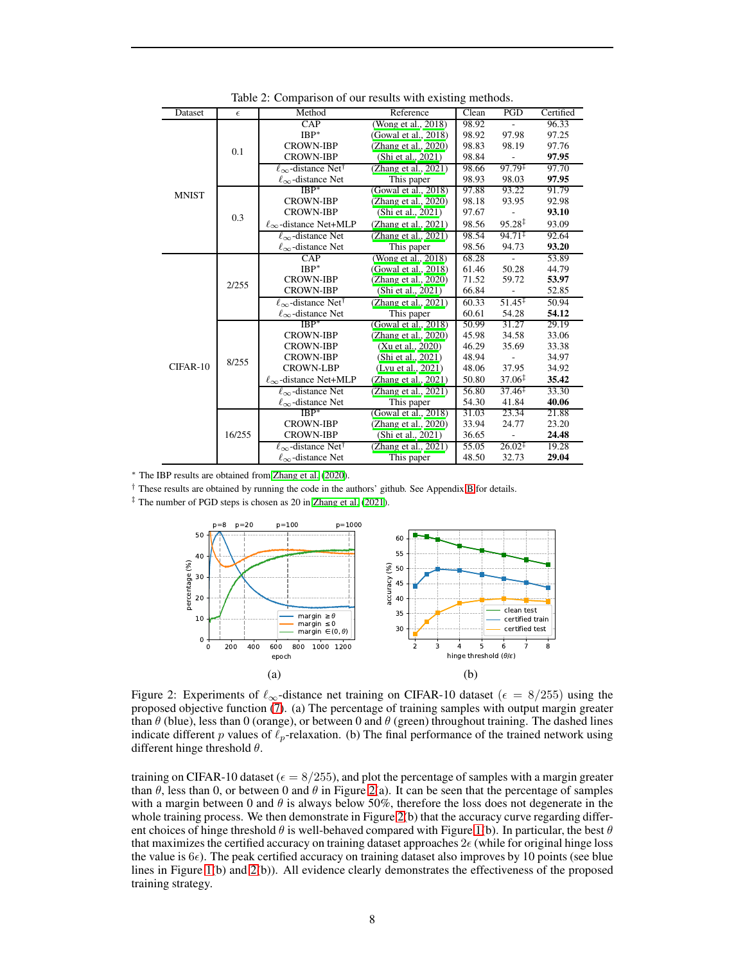| Dataset      | $\epsilon$ | Method                                     | Reference               | Clean | PGD                | Certified |
|--------------|------------|--------------------------------------------|-------------------------|-------|--------------------|-----------|
|              | 0.1        | $\overline{CAP}$                           | (Wong et al., 2018)     | 98.92 |                    | 96.33     |
|              |            | $IBP^*$                                    | (Gowal et al., 2018)    | 98.92 | 97.98              | 97.25     |
|              |            | <b>CROWN-IBP</b>                           | (Zhang et al., 2020)    | 98.83 | 98.19              | 97.76     |
|              |            | <b>CROWN-IBP</b>                           | (Shi et al., 2021)      | 98.84 |                    | 97.95     |
|              |            | $\ell_{\infty}$ -distance Net <sup>†</sup> | (Zhang et al., $2021$ ) | 98.66 | $97.79^{\ddagger}$ | 97.70     |
|              |            | $\ell_{\infty}$ -distance Net              | This paper              | 98.93 | 98.03              | 97.95     |
| <b>MNIST</b> | 0.3        | $IBP^*$                                    | (Gowal et al., $2018$ ) | 97.88 | 93.22              | 91.79     |
|              |            | <b>CROWN-IBP</b>                           | (Zhang et al., 2020)    | 98.18 | 93.95              | 92.98     |
|              |            | <b>CROWN-IBP</b>                           | (Shi et al., 2021)      | 97.67 |                    | 93.10     |
|              |            | $\ell_{\infty}$ -distance Net+MLP          | (Zhang et al., 2021)    | 98.56 | $95.28^{\ddagger}$ | 93.09     |
|              |            | $\ell_{\infty}$ -distance Net              | (Zhang et al., 2021)    | 98.54 | $94.71^{\ddagger}$ | 92.64     |
|              |            | $\ell_{\infty}$ -distance Net              | This paper              | 98.56 | 94.73              | 93.20     |
|              | 2/255      | CAP                                        | (Wong et al., 2018)     | 68.28 |                    | 53.89     |
|              |            | $IBP^*$                                    | (Gowal et al., 2018)    | 61.46 | 50.28              | 44.79     |
|              |            | <b>CROWN-IBP</b>                           | (Zhang et al., 2020)    | 71.52 | 59.72              | 53.97     |
|              |            | <b>CROWN-IBP</b>                           | (Shi et al., 2021)      | 66.84 |                    | 52.85     |
|              |            | $\ell_{\infty}$ -distance Net <sup>†</sup> | (Zhang et al., 2021)    | 60.33 | $51.45^{\ddagger}$ | 50.94     |
|              |            | $\ell_{\infty}$ -distance Net              | This paper              | 60.61 | 54.28              | 54.12     |
|              | 8/255      | $IBP*$                                     | (Gowal et al., 2018)    | 50.99 | 31.27              | 29.19     |
|              |            | <b>CROWN-IBP</b><br>(Zhang et al., 2020)   |                         | 45.98 | 34.58              | 33.06     |
|              |            | <b>CROWN-IBP</b>                           | (Xu et al., 2020)       | 46.29 | 35.69              | 33.38     |
| CIFAR-10     |            | <b>CROWN-IBP</b>                           | (Shi et al., 2021)      | 48.94 |                    | 34.97     |
|              |            | <b>CROWN-LBP</b>                           | (Lyu et al., 2021)      | 48.06 | 37.95              | 34.92     |
|              |            | $\ell_{\infty}$ -distance Net+MLP          | (Zhang et al., 2021)    | 50.80 | $37.06^{\ddagger}$ | 35.42     |
|              |            | $\ell_{\infty}$ -distance Net              | (Zhang et al., 2021)    | 56.80 | $37.46^{\ddagger}$ | 33.30     |
|              |            | $\ell_{\infty}$ -distance Net              | This paper              | 54.30 | 41.84              | 40.06     |
|              | 16/255     | $IBP*$                                     | (Gowal et al., 2018)    | 31.03 | 23.34              | 21.88     |
|              |            | <b>CROWN-IBP</b>                           | (Zhang et al., 2020)    | 33.94 | 24.77              | 23.20     |
|              |            | <b>CROWN-IBP</b>                           | (Shi et al., 2021)      | 36.65 |                    | 24.48     |
|              |            | $\ell_{\infty}$ -distance Net <sup>†</sup> | (Zhang et al., 2021)    | 55.05 | $26.02^{\ddagger}$ | 19.28     |
|              |            | $\ell_{\infty}$ -distance Net              | This paper              | 48.50 | 32.73              | 29.04     |

<span id="page-7-0"></span>Table 2: Comparison of our results with existing methods.

<sup>∗</sup> The IBP results are obtained from [Zhang et al. \(2020\)](#page-12-1).

† These results are obtained by running the code in the authors' github. See Appendix [B](#page-15-0) for details.

‡ The number of PGD steps is chosen as 20 in [Zhang et al. \(2021\)](#page-11-0).



<span id="page-7-1"></span>Figure 2: Experiments of  $\ell_{\infty}$ -distance net training on CIFAR-10 dataset ( $\epsilon = 8/255$ ) using the proposed objective function [\(7\)](#page-5-0). (a) The percentage of training samples with output margin greater than  $\theta$  (blue), less than 0 (orange), or between 0 and  $\theta$  (green) throughout training. The dashed lines indicate different p values of  $\ell_p$ -relaxation. (b) The final performance of the trained network using different hinge threshold  $\theta$ .

training on CIFAR-10 dataset ( $\epsilon = 8/255$ ), and plot the percentage of samples with a margin greater than  $\theta$ , less than 0, or between 0 and  $\theta$  in Figure [2\(](#page-7-1)a). It can be seen that the percentage of samples with a margin between 0 and  $\theta$  is always below 50%, therefore the loss does not degenerate in the whole training process. We then demonstrate in Figure [2\(](#page-7-1)b) that the accuracy curve regarding different choices of hinge threshold  $\theta$  is well-behaved compared with Figure [1\(](#page-4-0)b). In particular, the best  $\theta$ that maximizes the certified accuracy on training dataset approaches  $2\epsilon$  (while for original hinge loss the value is  $6\epsilon$ ). The peak certified accuracy on training dataset also improves by 10 points (see blue lines in Figure [1\(](#page-4-0)b) and [2\(](#page-7-1)b)). All evidence clearly demonstrates the effectiveness of the proposed training strategy.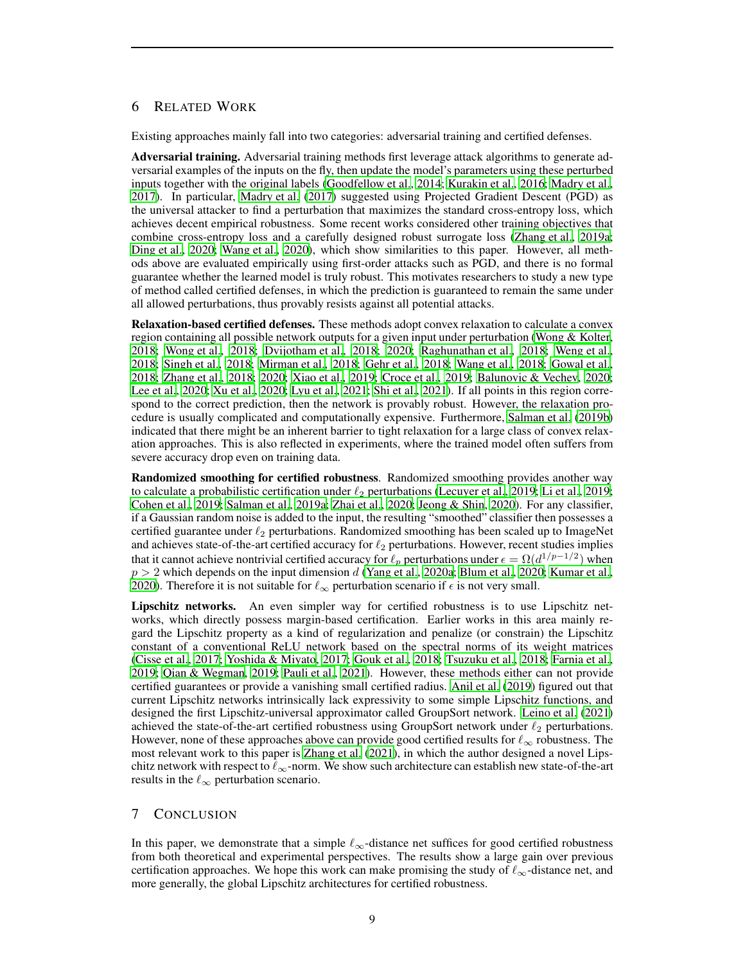# 6 RELATED WORK

Existing approaches mainly fall into two categories: adversarial training and certified defenses.

Adversarial training. Adversarial training methods first leverage attack algorithms to generate adversarial examples of the inputs on the fly, then update the model's parameters using these perturbed inputs together with the original labels [\(Goodfellow et al., 2014;](#page-9-1) [Kurakin et al., 2016;](#page-10-6) [Madry et al.,](#page-10-0) [2017\)](#page-10-0). In particular, [Madry et al. \(2017](#page-10-0)) suggested using Projected Gradient Descent (PGD) as the universal attacker to find a perturbation that maximizes the standard cross-entropy loss, which achieves decent empirical robustness. Some recent works considered other training objectives that combine cross-entropy loss and a carefully designed robust surrogate loss [\(Zhang et al.](#page-12-0), [2019a](#page-12-0); [Ding et al., 2020;](#page-9-6) [Wang et al.](#page-11-10), [2020\)](#page-11-10), which show similarities to this paper. However, all methods above are evaluated empirically using first-order attacks such as PGD, and there is no formal guarantee whether the learned model is truly robust. This motivates researchers to study a new type of method called certified defenses, in which the prediction is guaranteed to remain the same under all allowed perturbations, thus provably resists against all potential attacks.

Relaxation-based certified defenses. These methods adopt convex relaxation to calculate a convex region containing all possible network outputs for a given input under perturbation [\(Wong & Kolter,](#page-11-4) [2018;](#page-11-4) [Wong et al., 2018;](#page-11-8) [Dvijotham et al., 2018;](#page-9-7) [2020](#page-9-8); [Raghunathan et al., 2018;](#page-10-7) [Weng et al.,](#page-11-11) [2018;](#page-11-11) [Singh et al., 2018;](#page-10-8) [Mirman et al., 2018;](#page-10-1) [Gehr et al.](#page-9-9), [2018;](#page-9-9) [Wang et al.](#page-11-12), [2018;](#page-11-12) [Gowal et al.,](#page-10-2) [2018;](#page-10-2) [Zhang et al., 2018;](#page-12-2) [2020](#page-12-1); [Xiao et al., 2019;](#page-11-13) [Croce et al., 2019](#page-9-10); [Balunovic & Vechev](#page-9-11), [2020](#page-9-11); [Lee et al., 2020;](#page-10-9) [Xu et al.](#page-11-9), [2020](#page-11-9); [Lyu et al., 2021;](#page-10-5) [Shi et al.](#page-10-4), [2021\)](#page-10-4). If all points in this region correspond to the correct prediction, then the network is provably robust. However, the relaxation procedure is usually complicated and computationally expensive. Furthermore, [Salman et al.](#page-10-10) [\(2019b\)](#page-10-10) indicated that there might be an inherent barrier to tight relaxation for a large class of convex relaxation approaches. This is also reflected in experiments, where the trained model often suffers from severe accuracy drop even on training data.

Randomized smoothing for certified robustness. Randomized smoothing provides another way to calculate a probabilistic certification under  $\ell_2$  perturbations [\(Lecuyer et al.](#page-10-11), [2019](#page-10-12); [Li et al.](#page-10-12), 2019; [Cohen et al., 2019;](#page-9-5) [Salman et al.](#page-10-3), [2019a;](#page-10-3) [Zhai et al.](#page-11-5), [2020;](#page-11-5) [Jeong & Shin](#page-10-13), [2020\)](#page-10-13). For any classifier, if a Gaussian random noise is added to the input, the resulting "smoothed" classifier then possesses a certified guarantee under  $\ell_2$  perturbations. Randomized smoothing has been scaled up to ImageNet and achieves state-of-the-art certified accuracy for  $\ell_2$  perturbations. However, recent studies implies that it cannot achieve nontrivial certified accuracy for  $\ell_p$  perturbations under  $\epsilon = \Omega(d^{1/p-1/2})$  when  $p > 2$  which depends on the input dimension d [\(Yang et al.](#page-11-14), [2020a;](#page-11-14) [Blum et al., 2020;](#page-9-12) [Kumar et al.,](#page-10-14) [2020\)](#page-10-14). Therefore it is not suitable for  $\ell_{\infty}$  perturbation scenario if  $\epsilon$  is not very small.

Lipschitz networks. An even simpler way for certified robustness is to use Lipschitz networks, which directly possess margin-based certification. Earlier works in this area mainly regard the Lipschitz property as a kind of regularization and penalize (or constrain) the Lipschitz constant of a conventional ReLU network based on the spectral norms of its weight matrices [\(Cisse et al., 2017;](#page-9-13) [Yoshida & Miyato, 2017;](#page-11-15) [Gouk et al.](#page-9-14), [2018;](#page-9-14) [Tsuzuku et al., 2018;](#page-11-16) [Farnia et al.,](#page-9-15) [2019;](#page-9-15) [Qian & Wegman](#page-10-15), [2019;](#page-10-15) [Pauli et al.](#page-10-16), [2021\)](#page-10-16). However, these methods either can not provide certified guarantees or provide a vanishing small certified radius. [Anil et al.](#page-9-16) [\(2019\)](#page-9-16) figured out that current Lipschitz networks intrinsically lack expressivity to some simple Lipschitz functions, and designed the first Lipschitz-universal approximator called GroupSort network. [Leino et al.](#page-10-17) [\(2021\)](#page-10-17) achieved the state-of-the-art certified robustness using GroupSort network under  $\ell_2$  perturbations. However, none of these approaches above can provide good certified results for  $\ell_{\infty}$  robustness. The most relevant work to this paper is [Zhang et al. \(2021\)](#page-11-0), in which the author designed a novel Lipschitz network with respect to  $\ell_{\infty}$ -norm. We show such architecture can establish new state-of-the-art results in the  $\ell_{\infty}$  perturbation scenario.

# 7 CONCLUSION

In this paper, we demonstrate that a simple  $\ell_{\infty}$ -distance net suffices for good certified robustness from both theoretical and experimental perspectives. The results show a large gain over previous certification approaches. We hope this work can make promising the study of  $\ell_{\infty}$ -distance net, and more generally, the global Lipschitz architectures for certified robustness.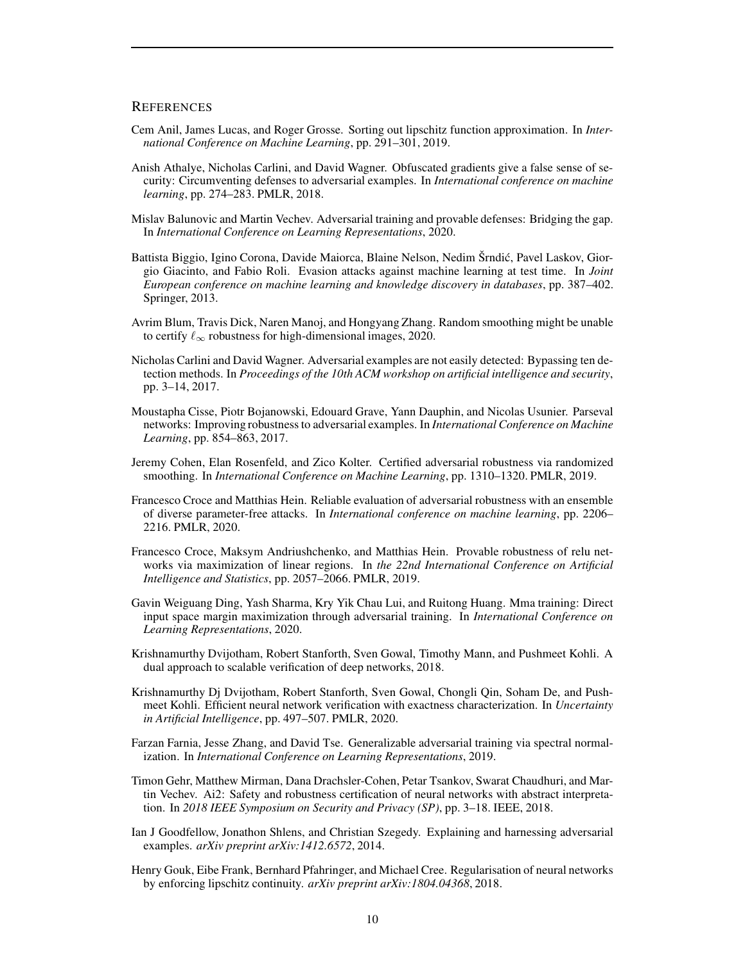## **REFERENCES**

- <span id="page-9-16"></span>Cem Anil, James Lucas, and Roger Grosse. Sorting out lipschitz function approximation. In *International Conference on Machine Learning*, pp. 291–301, 2019.
- <span id="page-9-3"></span>Anish Athalye, Nicholas Carlini, and David Wagner. Obfuscated gradients give a false sense of security: Circumventing defenses to adversarial examples. In *International conference on machine learning*, pp. 274–283. PMLR, 2018.
- <span id="page-9-11"></span>Mislav Balunovic and Martin Vechev. Adversarial training and provable defenses: Bridging the gap. In *International Conference on Learning Representations*, 2020.
- <span id="page-9-0"></span>Battista Biggio, Igino Corona, Davide Maiorca, Blaine Nelson, Nedim Šrndić, Pavel Laskov, Giorgio Giacinto, and Fabio Roli. Evasion attacks against machine learning at test time. In *Joint European conference on machine learning and knowledge discovery in databases*, pp. 387–402. Springer, 2013.
- <span id="page-9-12"></span>Avrim Blum, Travis Dick, Naren Manoj, and Hongyang Zhang. Random smoothing might be unable to certify  $\ell_{\infty}$  robustness for high-dimensional images, 2020.
- <span id="page-9-2"></span>Nicholas Carlini and David Wagner. Adversarial examples are not easily detected: Bypassing ten detection methods. In *Proceedings of the 10th ACM workshop on artificial intelligence and security*, pp. 3–14, 2017.
- <span id="page-9-13"></span>Moustapha Cisse, Piotr Bojanowski, Edouard Grave, Yann Dauphin, and Nicolas Usunier. Parseval networks: Improving robustness to adversarial examples. In *International Conference on Machine Learning*, pp. 854–863, 2017.
- <span id="page-9-5"></span>Jeremy Cohen, Elan Rosenfeld, and Zico Kolter. Certified adversarial robustness via randomized smoothing. In *International Conference on Machine Learning*, pp. 1310–1320. PMLR, 2019.
- <span id="page-9-4"></span>Francesco Croce and Matthias Hein. Reliable evaluation of adversarial robustness with an ensemble of diverse parameter-free attacks. In *International conference on machine learning*, pp. 2206– 2216. PMLR, 2020.
- <span id="page-9-10"></span>Francesco Croce, Maksym Andriushchenko, and Matthias Hein. Provable robustness of relu networks via maximization of linear regions. In *the 22nd International Conference on Artificial Intelligence and Statistics*, pp. 2057–2066. PMLR, 2019.
- <span id="page-9-6"></span>Gavin Weiguang Ding, Yash Sharma, Kry Yik Chau Lui, and Ruitong Huang. Mma training: Direct input space margin maximization through adversarial training. In *International Conference on Learning Representations*, 2020.
- <span id="page-9-7"></span>Krishnamurthy Dvijotham, Robert Stanforth, Sven Gowal, Timothy Mann, and Pushmeet Kohli. A dual approach to scalable verification of deep networks, 2018.
- <span id="page-9-8"></span>Krishnamurthy Dj Dvijotham, Robert Stanforth, Sven Gowal, Chongli Qin, Soham De, and Pushmeet Kohli. Efficient neural network verification with exactness characterization. In *Uncertainty in Artificial Intelligence*, pp. 497–507. PMLR, 2020.
- <span id="page-9-15"></span>Farzan Farnia, Jesse Zhang, and David Tse. Generalizable adversarial training via spectral normalization. In *International Conference on Learning Representations*, 2019.
- <span id="page-9-9"></span>Timon Gehr, Matthew Mirman, Dana Drachsler-Cohen, Petar Tsankov, Swarat Chaudhuri, and Martin Vechev. Ai2: Safety and robustness certification of neural networks with abstract interpretation. In *2018 IEEE Symposium on Security and Privacy (SP)*, pp. 3–18. IEEE, 2018.
- <span id="page-9-1"></span>Ian J Goodfellow, Jonathon Shlens, and Christian Szegedy. Explaining and harnessing adversarial examples. *arXiv preprint arXiv:1412.6572*, 2014.
- <span id="page-9-14"></span>Henry Gouk, Eibe Frank, Bernhard Pfahringer, and Michael Cree. Regularisation of neural networks by enforcing lipschitz continuity. *arXiv preprint arXiv:1804.04368*, 2018.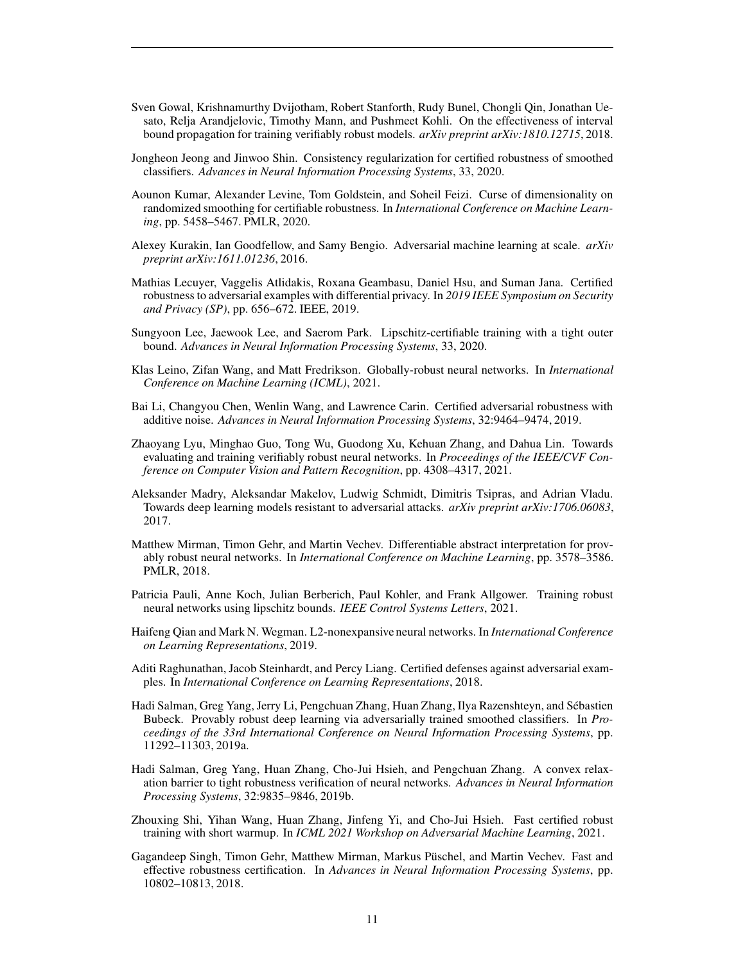- <span id="page-10-2"></span>Sven Gowal, Krishnamurthy Dvijotham, Robert Stanforth, Rudy Bunel, Chongli Qin, Jonathan Uesato, Relja Arandjelovic, Timothy Mann, and Pushmeet Kohli. On the effectiveness of interval bound propagation for training verifiably robust models. *arXiv preprint arXiv:1810.12715*, 2018.
- <span id="page-10-13"></span>Jongheon Jeong and Jinwoo Shin. Consistency regularization for certified robustness of smoothed classifiers. *Advances in Neural Information Processing Systems*, 33, 2020.
- <span id="page-10-14"></span>Aounon Kumar, Alexander Levine, Tom Goldstein, and Soheil Feizi. Curse of dimensionality on randomized smoothing for certifiable robustness. In *International Conference on Machine Learning*, pp. 5458–5467. PMLR, 2020.
- <span id="page-10-6"></span>Alexey Kurakin, Ian Goodfellow, and Samy Bengio. Adversarial machine learning at scale. *arXiv preprint arXiv:1611.01236*, 2016.
- <span id="page-10-11"></span>Mathias Lecuyer, Vaggelis Atlidakis, Roxana Geambasu, Daniel Hsu, and Suman Jana. Certified robustness to adversarial examples with differential privacy. In *2019 IEEE Symposium on Security and Privacy (SP)*, pp. 656–672. IEEE, 2019.
- <span id="page-10-9"></span>Sungyoon Lee, Jaewook Lee, and Saerom Park. Lipschitz-certifiable training with a tight outer bound. *Advances in Neural Information Processing Systems*, 33, 2020.
- <span id="page-10-17"></span>Klas Leino, Zifan Wang, and Matt Fredrikson. Globally-robust neural networks. In *International Conference on Machine Learning (ICML)*, 2021.
- <span id="page-10-12"></span>Bai Li, Changyou Chen, Wenlin Wang, and Lawrence Carin. Certified adversarial robustness with additive noise. *Advances in Neural Information Processing Systems*, 32:9464–9474, 2019.
- <span id="page-10-5"></span>Zhaoyang Lyu, Minghao Guo, Tong Wu, Guodong Xu, Kehuan Zhang, and Dahua Lin. Towards evaluating and training verifiably robust neural networks. In *Proceedings of the IEEE/CVF Conference on Computer Vision and Pattern Recognition*, pp. 4308–4317, 2021.
- <span id="page-10-0"></span>Aleksander Madry, Aleksandar Makelov, Ludwig Schmidt, Dimitris Tsipras, and Adrian Vladu. Towards deep learning models resistant to adversarial attacks. *arXiv preprint arXiv:1706.06083*, 2017.
- <span id="page-10-1"></span>Matthew Mirman, Timon Gehr, and Martin Vechev. Differentiable abstract interpretation for provably robust neural networks. In *International Conference on Machine Learning*, pp. 3578–3586. PMLR, 2018.
- <span id="page-10-16"></span>Patricia Pauli, Anne Koch, Julian Berberich, Paul Kohler, and Frank Allgower. Training robust neural networks using lipschitz bounds. *IEEE Control Systems Letters*, 2021.
- <span id="page-10-15"></span>Haifeng Qian and Mark N. Wegman. L2-nonexpansive neural networks. In *International Conference on Learning Representations*, 2019.
- <span id="page-10-7"></span>Aditi Raghunathan, Jacob Steinhardt, and Percy Liang. Certified defenses against adversarial examples. In *International Conference on Learning Representations*, 2018.
- <span id="page-10-3"></span>Hadi Salman, Greg Yang, Jerry Li, Pengchuan Zhang, Huan Zhang, Ilya Razenshteyn, and Sébastien Bubeck. Provably robust deep learning via adversarially trained smoothed classifiers. In *Proceedings of the 33rd International Conference on Neural Information Processing Systems*, pp. 11292–11303, 2019a.
- <span id="page-10-10"></span>Hadi Salman, Greg Yang, Huan Zhang, Cho-Jui Hsieh, and Pengchuan Zhang. A convex relaxation barrier to tight robustness verification of neural networks. *Advances in Neural Information Processing Systems*, 32:9835–9846, 2019b.
- <span id="page-10-4"></span>Zhouxing Shi, Yihan Wang, Huan Zhang, Jinfeng Yi, and Cho-Jui Hsieh. Fast certified robust training with short warmup. In *ICML 2021 Workshop on Adversarial Machine Learning*, 2021.
- <span id="page-10-8"></span>Gagandeep Singh, Timon Gehr, Matthew Mirman, Markus Püschel, and Martin Vechev. Fast and effective robustness certification. In *Advances in Neural Information Processing Systems*, pp. 10802–10813, 2018.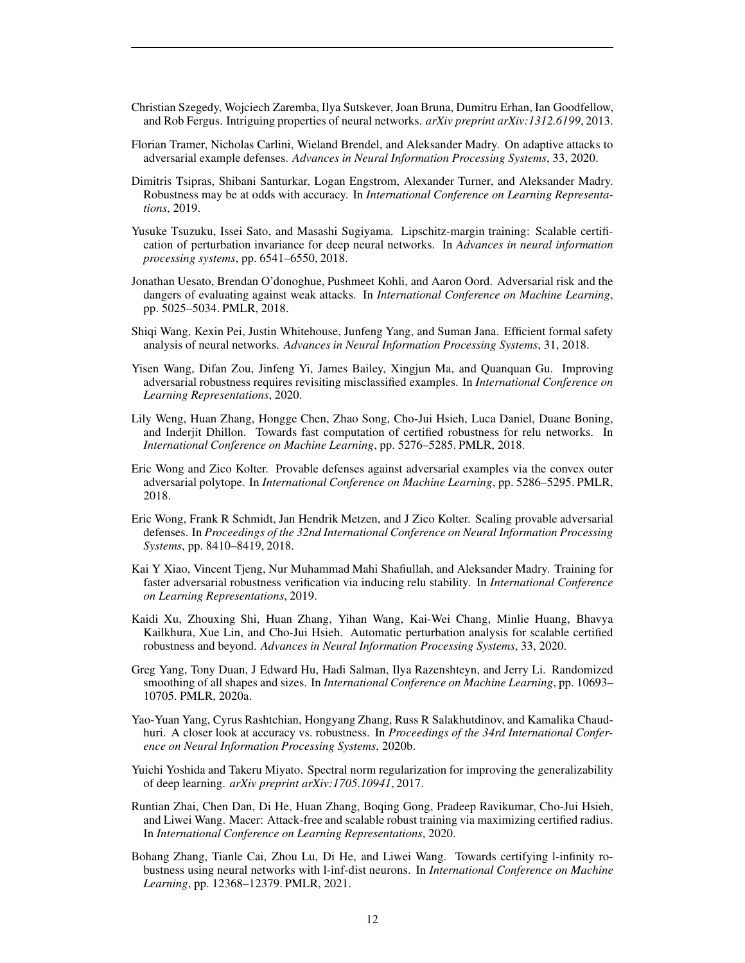- <span id="page-11-1"></span>Christian Szegedy, Wojciech Zaremba, Ilya Sutskever, Joan Bruna, Dumitru Erhan, Ian Goodfellow, and Rob Fergus. Intriguing properties of neural networks. *arXiv preprint arXiv:1312.6199*, 2013.
- <span id="page-11-3"></span>Florian Tramer, Nicholas Carlini, Wieland Brendel, and Aleksander Madry. On adaptive attacks to adversarial example defenses. *Advances in Neural Information Processing Systems*, 33, 2020.
- <span id="page-11-7"></span>Dimitris Tsipras, Shibani Santurkar, Logan Engstrom, Alexander Turner, and Aleksander Madry. Robustness may be at odds with accuracy. In *International Conference on Learning Representations*, 2019.
- <span id="page-11-16"></span>Yusuke Tsuzuku, Issei Sato, and Masashi Sugiyama. Lipschitz-margin training: Scalable certification of perturbation invariance for deep neural networks. In *Advances in neural information processing systems*, pp. 6541–6550, 2018.
- <span id="page-11-2"></span>Jonathan Uesato, Brendan O'donoghue, Pushmeet Kohli, and Aaron Oord. Adversarial risk and the dangers of evaluating against weak attacks. In *International Conference on Machine Learning*, pp. 5025–5034. PMLR, 2018.
- <span id="page-11-12"></span>Shiqi Wang, Kexin Pei, Justin Whitehouse, Junfeng Yang, and Suman Jana. Efficient formal safety analysis of neural networks. *Advances in Neural Information Processing Systems*, 31, 2018.
- <span id="page-11-10"></span>Yisen Wang, Difan Zou, Jinfeng Yi, James Bailey, Xingjun Ma, and Quanquan Gu. Improving adversarial robustness requires revisiting misclassified examples. In *International Conference on Learning Representations*, 2020.
- <span id="page-11-11"></span>Lily Weng, Huan Zhang, Hongge Chen, Zhao Song, Cho-Jui Hsieh, Luca Daniel, Duane Boning, and Inderjit Dhillon. Towards fast computation of certified robustness for relu networks. In *International Conference on Machine Learning*, pp. 5276–5285. PMLR, 2018.
- <span id="page-11-4"></span>Eric Wong and Zico Kolter. Provable defenses against adversarial examples via the convex outer adversarial polytope. In *International Conference on Machine Learning*, pp. 5286–5295. PMLR, 2018.
- <span id="page-11-8"></span>Eric Wong, Frank R Schmidt, Jan Hendrik Metzen, and J Zico Kolter. Scaling provable adversarial defenses. In *Proceedings of the 32nd International Conference on Neural Information Processing Systems*, pp. 8410–8419, 2018.
- <span id="page-11-13"></span>Kai Y Xiao, Vincent Tjeng, Nur Muhammad Mahi Shafiullah, and Aleksander Madry. Training for faster adversarial robustness verification via inducing relu stability. In *International Conference on Learning Representations*, 2019.
- <span id="page-11-9"></span>Kaidi Xu, Zhouxing Shi, Huan Zhang, Yihan Wang, Kai-Wei Chang, Minlie Huang, Bhavya Kailkhura, Xue Lin, and Cho-Jui Hsieh. Automatic perturbation analysis for scalable certified robustness and beyond. *Advances in Neural Information Processing Systems*, 33, 2020.
- <span id="page-11-14"></span>Greg Yang, Tony Duan, J Edward Hu, Hadi Salman, Ilya Razenshteyn, and Jerry Li. Randomized smoothing of all shapes and sizes. In *International Conference on Machine Learning*, pp. 10693– 10705. PMLR, 2020a.
- <span id="page-11-6"></span>Yao-Yuan Yang, Cyrus Rashtchian, Hongyang Zhang, Russ R Salakhutdinov, and Kamalika Chaudhuri. A closer look at accuracy vs. robustness. In *Proceedings of the 34rd International Conference on Neural Information Processing Systems*, 2020b.
- <span id="page-11-15"></span>Yuichi Yoshida and Takeru Miyato. Spectral norm regularization for improving the generalizability of deep learning. *arXiv preprint arXiv:1705.10941*, 2017.
- <span id="page-11-5"></span>Runtian Zhai, Chen Dan, Di He, Huan Zhang, Boqing Gong, Pradeep Ravikumar, Cho-Jui Hsieh, and Liwei Wang. Macer: Attack-free and scalable robust training via maximizing certified radius. In *International Conference on Learning Representations*, 2020.
- <span id="page-11-0"></span>Bohang Zhang, Tianle Cai, Zhou Lu, Di He, and Liwei Wang. Towards certifying l-infinity robustness using neural networks with l-inf-dist neurons. In *International Conference on Machine Learning*, pp. 12368–12379. PMLR, 2021.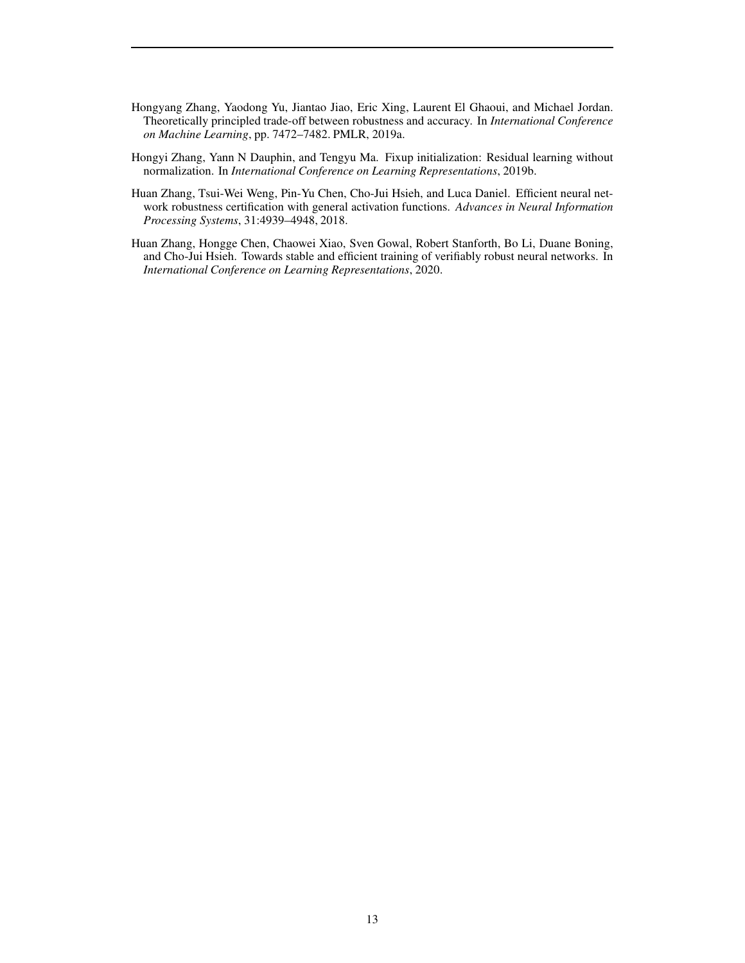- <span id="page-12-0"></span>Hongyang Zhang, Yaodong Yu, Jiantao Jiao, Eric Xing, Laurent El Ghaoui, and Michael Jordan. Theoretically principled trade-off between robustness and accuracy. In *International Conference on Machine Learning*, pp. 7472–7482. PMLR, 2019a.
- <span id="page-12-3"></span>Hongyi Zhang, Yann N Dauphin, and Tengyu Ma. Fixup initialization: Residual learning without normalization. In *International Conference on Learning Representations*, 2019b.
- <span id="page-12-2"></span>Huan Zhang, Tsui-Wei Weng, Pin-Yu Chen, Cho-Jui Hsieh, and Luca Daniel. Efficient neural network robustness certification with general activation functions. *Advances in Neural Information Processing Systems*, 31:4939–4948, 2018.
- <span id="page-12-1"></span>Huan Zhang, Hongge Chen, Chaowei Xiao, Sven Gowal, Robert Stanforth, Bo Li, Duane Boning, and Cho-Jui Hsieh. Towards stable and efficient training of verifiably robust neural networks. In *International Conference on Learning Representations*, 2020.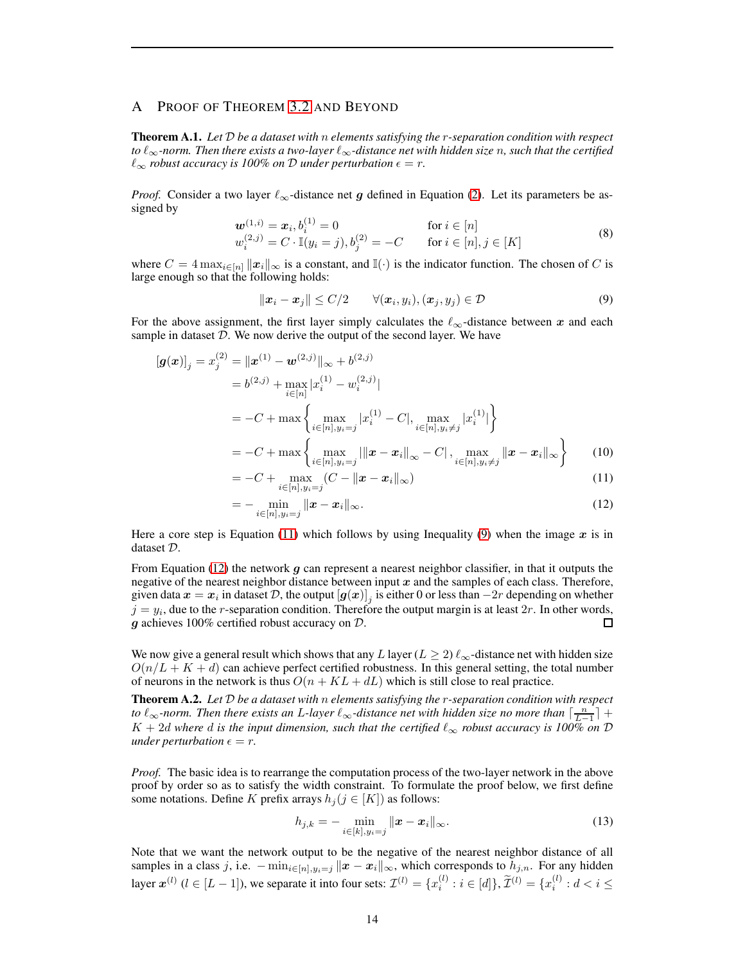# <span id="page-13-0"></span>A PROOF OF THEOREM [3.2](#page-2-0) AND BEYOND

Theorem A.1. *Let* D *be a dataset with* n *elements satisfying the* r*-separation condition with respect to* ℓ∞*-norm. Then there exists a two-layer* ℓ∞*-distance net with hidden size* n*, such that the certified*  $\ell_{\infty}$  *robust accuracy is 100% on* D *under perturbation*  $\epsilon = r$ .

*Proof.* Consider a two layer  $\ell_{\infty}$ -distance net g defined in Equation [\(2\)](#page-1-1). Let its parameters be assigned by

<span id="page-13-4"></span>
$$
\begin{array}{ll}\n\mathbf{w}^{(1,i)} = \mathbf{x}_i, b_i^{(1)} = 0 & \text{for } i \in [n] \\
w_i^{(2,j)} = C \cdot \mathbb{I}(y_i = j), b_j^{(2)} = -C & \text{for } i \in [n], j \in [K]\n\end{array} \tag{8}
$$

where  $C = 4 \max_{i \in [n]} ||x_i||_{\infty}$  is a constant, and  $\mathbb{I}(\cdot)$  is the indicator function. The chosen of C is large enough so that the following holds:

<span id="page-13-2"></span>
$$
||\boldsymbol{x}_i - \boldsymbol{x}_j|| \le C/2 \qquad \forall (\boldsymbol{x}_i, y_i), (\boldsymbol{x}_j, y_j) \in \mathcal{D} \tag{9}
$$

For the above assignment, the first layer simply calculates the  $\ell_{\infty}$ -distance between x and each sample in dataset  $D$ . We now derive the output of the second layer. We have

$$
[\mathbf{g}(\mathbf{x})]_j = x_j^{(2)} = ||\mathbf{x}^{(1)} - \mathbf{w}^{(2,j)}||_{\infty} + b^{(2,j)}
$$
  
\n
$$
= b^{(2,j)} + \max_{i \in [n]} |x_i^{(1)} - w_i^{(2,j)}|
$$
  
\n
$$
= -C + \max \left\{ \max_{i \in [n], y_i = j} |x_i^{(1)} - C|, \max_{i \in [n], y_i \neq j} |x_i^{(1)}| \right\}
$$
  
\n
$$
= -C + \max \left\{ \max_{i \in [n], y_i = j} ||\mathbf{x} - \mathbf{x}_i||_{\infty} - C|, \max_{i \in [n], y_i \neq j} ||\mathbf{x} - \mathbf{x}_i||_{\infty} \right\}
$$
(10)

<span id="page-13-1"></span>
$$
= -C + \max_{i \in [n], y_i = j} (C - ||\mathbf{x} - \mathbf{x}_i||_{\infty})
$$
\n(11)

<span id="page-13-3"></span>
$$
= - \min_{i \in [n], y_i = j} \|x - x_i\|_{\infty}.
$$
 (12)

Here a core step is Equation [\(11\)](#page-13-1) which follows by using Inequality [\(9\)](#page-13-2) when the image  $x$  is in dataset D.

From Equation [\(12\)](#page-13-3) the network  $g$  can represent a nearest neighbor classifier, in that it outputs the negative of the nearest neighbor distance between input  $x$  and the samples of each class. Therefore, given data  $x=x_i$  in dataset  $\mathcal{D},$  the output  $\left[\bm{g}(\bm{x})\right]_j$  is either  $0$  or less than  $-2r$  depending on whether  $j = y_i$ , due to the *r*-separation condition. Therefore the output margin is at least  $2r$ . In other words,  $g$  achieves 100% certified robust accuracy on  $D$ . □

We now give a general result which shows that any L layer ( $L \ge 2$ )  $\ell_{\infty}$ -distance net with hidden size  $O(n/L + K + d)$  can achieve perfect certified robustness. In this general setting, the total number of neurons in the network is thus  $O(n + KL + dL)$  which is still close to real practice.

Theorem A.2. *Let* D *be a dataset with* n *elements satisfying the* r*-separation condition with respect* to  $\ell_{\infty}$ -norm. Then there exists an L-layer  $\ell_{\infty}$ -distance net with hidden size no more than  $\lceil \frac{n}{L-1} \rceil$  +  $K + 2d$  where d is the input dimension, such that the certified  $\ell_{\infty}$  robust accuracy is 100% on D *under perturbation*  $\epsilon = r$ .

*Proof.* The basic idea is to rearrange the computation process of the two-layer network in the above proof by order so as to satisfy the width constraint. To formulate the proof below, we first define some notations. Define K prefix arrays  $h_j (j \in [K])$  as follows:

$$
h_{j,k} = - \min_{i \in [k], y_i = j} ||\boldsymbol{x} - \boldsymbol{x}_i||_{\infty}.
$$
 (13)

Note that we want the network output to be the negative of the nearest neighbor distance of all samples in a class j, i.e.  $-\min_{i\in[n],y_i=j} ||x-x_i||_{\infty}$ , which corresponds to  $h_{j,n}$ . For any hidden layer  $\mathbf{x}^{(l)}$  ( $l \in [L-1]$ ), we separate it into four sets:  $\mathcal{I}^{(l)} = \{x_i^{(l)} : i \in [d]\}, \widetilde{\mathcal{I}}^{(l)} = \{x_i^{(l)} : d < i \leq l\}$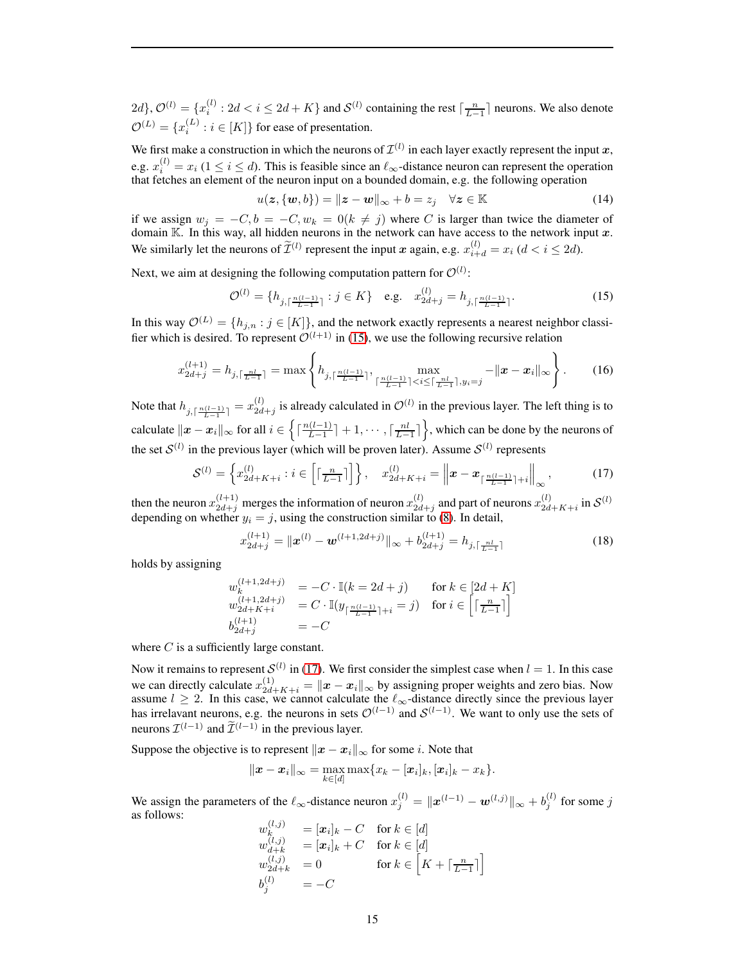$2d$ ,  $\mathcal{O}^{(l)} = \{x_i^{(l)} : 2d < i \leq 2d + K\}$  and  $\mathcal{S}^{(l)}$  containing the rest  $\lceil \frac{n}{L-1} \rceil$  neurons. We also denote  $\mathcal{O}^{(L)} = \{x_i^{(L)}\}$  $i_i^{(L)}$  :  $i \in [K]$ } for ease of presentation.

We first make a construction in which the neurons of  $\mathcal{I}^{(l)}$  in each layer exactly represent the input  $x$ , e.g.  $x_i^{(l)} = x_i$  ( $1 \le i \le d$ ). This is feasible since an  $\ell_{\infty}$ -distance neuron can represent the operation that fetches an element of the neuron input on a bounded domain, e.g. the following operation

$$
u(z, \{w, b\}) = ||z - w||_{\infty} + b = z_j \quad \forall z \in \mathbb{K}
$$
 (14)

if we assign  $w_j = -C, b = -C, w_k = 0 (k \neq j)$  where C is larger than twice the diameter of domain K. In this way, all hidden neurons in the network can have access to the network input x. We similarly let the neurons of  $\tilde{\mathcal{I}}^{(l)}$  represent the input x again, e.g.  $x_{i+d}^{(l)} = x_i$  ( $d < i \leq 2d$ ).

Next, we aim at designing the following computation pattern for  $\mathcal{O}^{(l)}$ :

<span id="page-14-0"></span>
$$
\mathcal{O}^{(l)} = \{ h_{j, \lceil \frac{n(l-1)}{L-1} \rceil} : j \in K \} \quad \text{e.g.} \quad x_{2d+j}^{(l)} = h_{j, \lceil \frac{n(l-1)}{L-1} \rceil}. \tag{15}
$$

In this way  $\mathcal{O}^{(L)} = \{h_{j,n} : j \in [K]\}$ , and the network exactly represents a nearest neighbor classifier which is desired. To represent  $\mathcal{O}^{(l+1)}$  in [\(15\)](#page-14-0), we use the following recursive relation

$$
x_{2d+j}^{(l+1)} = h_{j,\lceil \frac{nl}{L-1} \rceil} = \max \left\{ h_{j,\lceil \frac{n(l-1)}{L-1} \rceil}, \max_{\lceil \frac{n(l-1)}{L-1} \rceil < i \le \lceil \frac{nl}{L-1} \rceil, y_i = j} - ||\boldsymbol{x} - \boldsymbol{x}_i||_{\infty} \right\}.
$$
 (16)

Note that  $h_{j, \lceil \frac{n(l-1)}{L-1} \rceil} = x_{2d}^{(l)}$  $\mathcal{Q}_{2d+j}^{(l)}$  is already calculated in  $\mathcal{O}^{(l)}$  in the previous layer. The left thing is to calculate  $||x - x_i||_{\infty}$  for all  $i \in \left\{ \int_{l-1}^{n(l-1)}$  $\left(\frac{(l-1)}{L-1}\right] + 1, \cdots, \left\lceil \frac{nl}{L-1} \right\rceil$ , which can be done by the neurons of the set  $S^{(l)}$  in the previous layer (which will be proven later). Assume  $S^{(l)}$  represents

<span id="page-14-1"></span>
$$
\mathcal{S}^{(l)} = \left\{ x_{2d+K+i}^{(l)} : i \in \left[ \lceil \frac{n}{L-1} \rceil \right] \right\}, \quad x_{2d+K+i}^{(l)} = \left\| \boldsymbol{x} - \boldsymbol{x}_{\lceil \frac{n(l-1)}{L-1} \rceil+i} \right\|_{\infty},\tag{17}
$$

then the neuron  $x_{2d+j}^{(l+1)}$  merges the information of neuron  $x_{2d}^{(l)}$  $\mathcal{L}^{(l)}_{2d+j}$  and part of neurons  $x_{2d}^{(l)}$  $\sum_{2d+K+i}^{(l)}$  in  $S^{(l)}$ depending on whether  $y_i = j$ , using the construction similar to [\(8\)](#page-13-4). In detail,

$$
x_{2d+j}^{(l+1)} = \|\boldsymbol{x}^{(l)} - \boldsymbol{w}^{(l+1,2d+j)}\|_{\infty} + b_{2d+j}^{(l+1)} = h_{j,\lceil \frac{nl}{L-1} \rceil}
$$
(18)

holds by assigning

$$
w_k^{(l+1,2d+j)} = -C \cdot \mathbb{I}(k = 2d + j) \quad \text{for } k \in [2d + K]
$$
  
\n
$$
w_{2d+K+i}^{(l+1,2d+j)} = C \cdot \mathbb{I}(y_{\lceil \frac{n(l-1)}{L-1} \rceil+i} = j) \quad \text{for } i \in \left[\lceil \frac{n}{L-1} \rceil\right]
$$
  
\n
$$
b_{2d+j}^{(l+1)} = -C
$$

where  $C$  is a sufficiently large constant.

Now it remains to represent  $\mathcal{S}^{(l)}$  in [\(17\)](#page-14-1). We first consider the simplest case when  $l = 1$ . In this case we can directly calculate  $x_{2d+K+i}^{(1)} = ||x - x_i||_{\infty}$  by assigning proper weights and zero bias. Now assume  $l \geq 2$ . In this case, we cannot calculate the  $\ell_{\infty}$ -distance directly since the previous layer has irrelavant neurons, e.g. the neurons in sets  $\mathcal{O}^{(l-1)}$  and  $\mathcal{S}^{(l-1)}$ . We want to only use the sets of neurons  $\mathcal{I}^{(l-1)}$  and  $\mathcal{I}^{(l-1)}$  in the previous layer.

Suppose the objective is to represent  $||x - x_i||_{\infty}$  for some *i*. Note that

$$
\|\boldsymbol{x}-\boldsymbol{x}_i\|_{\infty}=\max_{k\in[d]}\max\{x_k-[\boldsymbol{x}_i]_k,[\boldsymbol{x}_i]_k-x_k\}.
$$

We assign the parameters of the  $\ell_{\infty}$ -distance neuron  $x_j^{(l)} = ||x^{(l-1)} - \boldsymbol{w}^{(l,j)}||_{\infty} + b_j^{(l)}$  $j^{(i)}$  for some j as follows:  $\langle \cdot, \cdot \rangle$ 

$$
w_{k}^{(l,j)} = [x_{i}]_{k} - C \text{ for } k \in [d]
$$
  
\n
$$
w_{d+k}^{(l,j)} = [x_{i}]_{k} + C \text{ for } k \in [d]
$$
  
\n
$$
w_{2d+k}^{(l,j)} = 0 \text{ for } k \in [K + \lceil \frac{n}{L-1} \rceil]
$$
  
\n
$$
b_{j}^{(l)} = -C
$$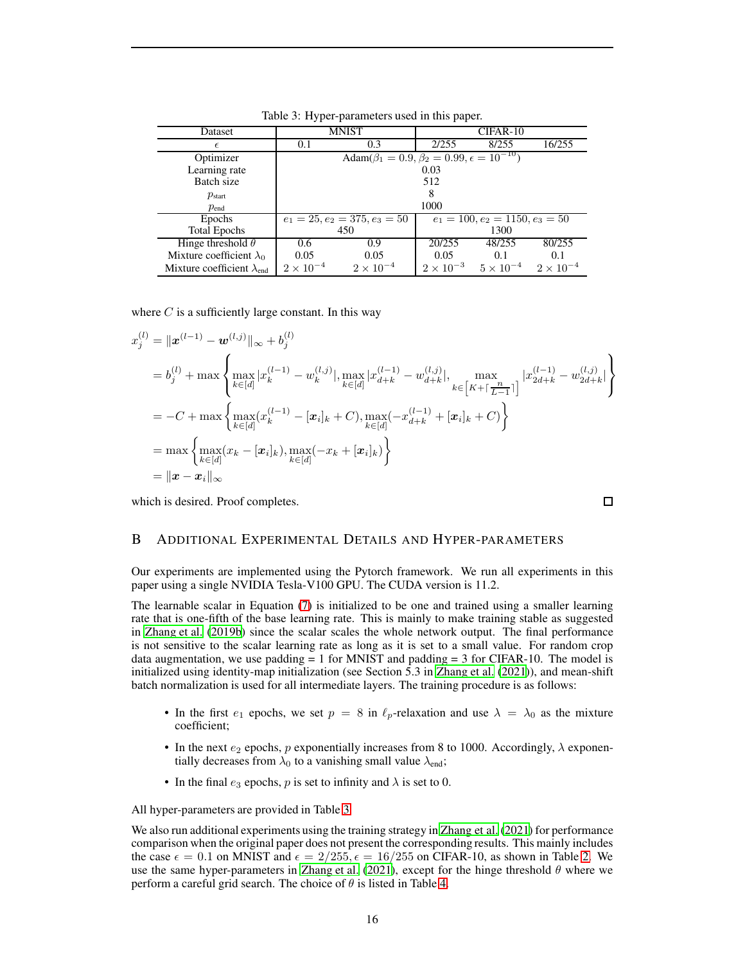| Dataset                             |                                                                    | MNIST                           | CIFAR-10                          |                    |                    |  |  |
|-------------------------------------|--------------------------------------------------------------------|---------------------------------|-----------------------------------|--------------------|--------------------|--|--|
| $\epsilon$                          | 0.1                                                                | 0.3                             | 2/255                             | 8/255              | 16/255             |  |  |
| Optimizer                           | Adam( $\beta_1 = 0.9$ , $\beta_2 = 0.99$ , $\epsilon = 10^{-10}$ ) |                                 |                                   |                    |                    |  |  |
| Learning rate                       | 0.03                                                               |                                 |                                   |                    |                    |  |  |
| Batch size                          | 512                                                                |                                 |                                   |                    |                    |  |  |
| $p_{\text{start}}$                  | 8                                                                  |                                 |                                   |                    |                    |  |  |
| $p_{end}$                           | 1000                                                               |                                 |                                   |                    |                    |  |  |
| <b>Epochs</b>                       |                                                                    | $e_1 = 25, e_2 = 375, e_3 = 50$ | $e_1 = 100, e_2 = 1150, e_3 = 50$ |                    |                    |  |  |
| <b>Total Epochs</b>                 |                                                                    | 450                             | 1300                              |                    |                    |  |  |
| Hinge threshold $\theta$            | 0.6                                                                | 0.9                             | 20/255                            | 48/255             | 80/255             |  |  |
| Mixture coefficient $\lambda_0$     | 0.05                                                               | 0.05                            | 0.05                              | 0.1                | 0.1                |  |  |
| Mixture coefficient $\lambda_{end}$ | $2 \times 10^{-4}$                                                 | $2 \times 10^{-4}$              | $2 \times 10^{-3}$                | $5 \times 10^{-4}$ | $2 \times 10^{-4}$ |  |  |

<span id="page-15-1"></span>Table 3: Hyper-parameters used in this paper.

where  $C$  is a sufficiently large constant. In this way

$$
x_j^{(l)} = ||\mathbf{x}^{(l-1)} - \mathbf{w}^{(l,j)}||_{\infty} + b_j^{(l)}
$$
  
\n
$$
= b_j^{(l)} + \max \left\{ \max_{k \in [d]} |x_k^{(l-1)} - w_k^{(l,j)}|, \max_{k \in [d]} |x_{d+k}^{(l-1)} - w_{d+k}^{(l,j)}|, \max_{k \in [K + \lceil \frac{n}{L-1} \rceil]} |x_{2d+k}^{(l-1)} - w_{2d+k}^{(l,j)}| \right\}
$$
  
\n
$$
= -C + \max \left\{ \max_{k \in [d]} (x_k^{(l-1)} - [\mathbf{x}_i]_k + C), \max_{k \in [d]} (-x_{d+k}^{(l-1)} + [\mathbf{x}_i]_k + C) \right\}
$$
  
\n
$$
= \max \left\{ \max_{k \in [d]} (x_k - [\mathbf{x}_i]_k), \max_{k \in [d]} (-x_k + [\mathbf{x}_i]_k) \right\}
$$
  
\n
$$
= ||\mathbf{x} - \mathbf{x}_i||_{\infty}
$$

<span id="page-15-0"></span>which is desired. Proof completes.

## B ADDITIONAL EXPERIMENTAL DETAILS AND HYPER-PARAMETERS

Our experiments are implemented using the Pytorch framework. We run all experiments in this paper using a single NVIDIA Tesla-V100 GPU. The CUDA version is 11.2.

The learnable scalar in Equation [\(7\)](#page-5-0) is initialized to be one and trained using a smaller learning rate that is one-fifth of the base learning rate. This is mainly to make training stable as suggested in [Zhang et al.](#page-12-3) [\(2019b\)](#page-12-3) since the scalar scales the whole network output. The final performance is not sensitive to the scalar learning rate as long as it is set to a small value. For random crop data augmentation, we use padding = 1 for MNIST and padding = 3 for CIFAR-10. The model is initialized using identity-map initialization (see Section  $5.3$  in [Zhang et al. \(2021\)](#page-11-0)), and mean-shift batch normalization is used for all intermediate layers. The training procedure is as follows:

- In the first  $e_1$  epochs, we set  $p = 8$  in  $\ell_p$ -relaxation and use  $\lambda = \lambda_0$  as the mixture coefficient;
- In the next  $e_2$  epochs, p exponentially increases from 8 to 1000. Accordingly,  $\lambda$  exponentially decreases from  $\lambda_0$  to a vanishing small value  $\lambda_{end}$ ;
- In the final  $e_3$  epochs, p is set to infinity and  $\lambda$  is set to 0.

All hyper-parameters are provided in Table [3.](#page-15-1)

We also run additional experiments using the training strategy in [Zhang et al. \(2021\)](#page-11-0) for performance comparison when the original paper does not present the corresponding results. This mainly includes the case  $\epsilon = 0.1$  on MNIST and  $\epsilon = 2/255$ ,  $\epsilon = 16/255$  on CIFAR-10, as shown in Table [2.](#page-7-0) We use the same hyper-parameters in [Zhang et al.](#page-11-0) [\(2021\)](#page-11-0), except for the hinge threshold  $\theta$  where we perform a careful grid search. The choice of  $\theta$  is listed in Table [4.](#page-16-1)

 $\Box$